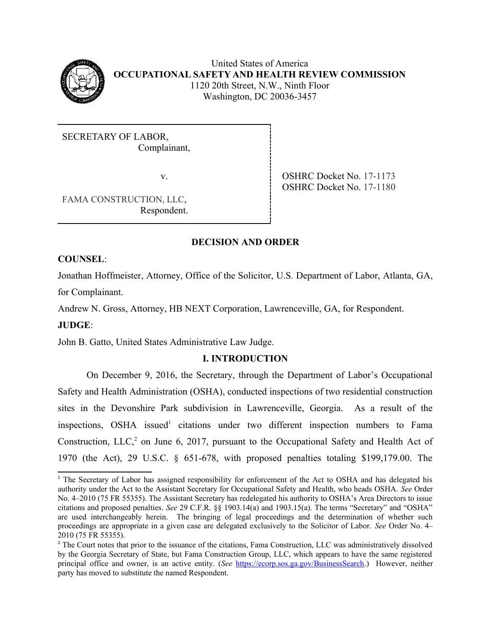

United States of America **OCCUPATIONAL SAFETY AND HEALTH REVIEW COMMISSION** 1120 20th Street, N.W., Ninth Floor Washington, DC 20036-3457

SECRETARY OF LABOR, Complainant,

v. SHRC Docket No. 17-1173 OSHRC Docket No. 17-1180

FAMA CONSTRUCTION, LLC, Respondent.

# **DECISION AND ORDER**

# **COUNSEL**:

 Jonathan Hoffmeister, Attorney, Office of the Solicitor, U.S. Department of Labor, Atlanta, GA, for Complainant.

Andrew N. Gross, Attorney, HB NEXT Corporation, Lawrenceville, GA, for Respondent. **JUDGE**:

John B. Gatto, United States Administrative Law Judge.

# **I. INTRODUCTION**

 On December 9, 2016, the Secretary, through the Department of Labor's Occupational Safety and Health Administration (OSHA), conducted inspections of two residential construction sites in the Devonshire Park subdivision in Lawrenceville, Georgia. As a result of the inspections, OSHA issued<sup>[1](#page-0-0)</sup> citations under two different inspection numbers to Fama Construction, LLC, $^2$  on June 6, 2017, pursuant to the Occupational Safety and Health Act of 1970 (the Act), 29 U.S.C. § 651-678, with proposed penalties totaling \$199,179.00. The

<span id="page-0-0"></span><sup>&</sup>lt;sup>1</sup> The Secretary of Labor has assigned responsibility for enforcement of the Act to OSHA and has delegated his authority under the Act to the Assistant Secretary for Occupational Safety and Health, who heads OSHA. *See* Order citations and proposed penalties. *See* 29 C.F.R. §§ 1903.14(a) and 1903.15(a). The terms "Secretary" and "OSHA" are used interchangeably herein. The bringing of legal proceedings and the determination of whether such proceedings are appropriate in a given case are delegated exclusively to the Solicitor of Labor. *See* Order No. 4– No. 4–2010 (75 FR 55355). The Assistant Secretary has redelegated his authority to OSHA's Area Directors to issue 2010 (75 FR 55355).

<span id="page-0-1"></span><sup>&</sup>lt;sup>2</sup> The Court notes that prior to the issuance of the citations, Fama Construction, LLC was administratively dissolved by the Georgia Secretary of State, but Fama Construction Group, LLC, which appears to have the same registered principal office and owner, is an active entity. (*See* https://ecorp.sos.ga.gov/BusinessSearch.) However, neither party has moved to substitute the named Respondent.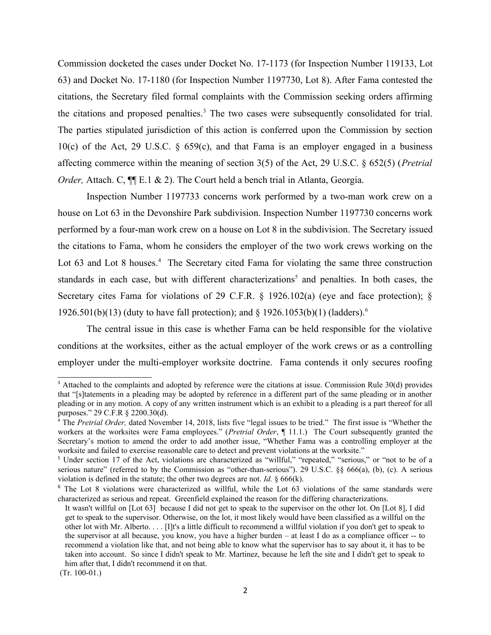Commission docketed the cases under Docket No. 17-1173 (for Inspection Number 119133, Lot 63) and Docket No. 17-1180 (for Inspection Number 1197730, Lot 8). After Fama contested the citations, the Secretary filed formal complaints with the Commission seeking orders affirming the citations and proposed penalties.<sup>3</sup> The two cases were subsequently consolidated for trial. The parties stipulated jurisdiction of this action is conferred upon the Commission by section 10(c) of the Act, 29 U.S.C.  $\S$  659(c), and that Fama is an employer engaged in a business affecting commerce within the meaning of section 3(5) of the Act, 29 U.S.C. § 652(5) (*Pretrial Order, Attach. C,*  $\P$ [E.1 & 2). The Court held a bench trial in Atlanta, Georgia.

 Inspection Number 1197733 concerns work performed by a two-man work crew on a house on Lot 63 in the Devonshire Park subdivision. Inspection Number 1197730 concerns work performed by a four-man work crew on a house on Lot 8 in the subdivision. The Secretary issued the citations to Fama, whom he considers the employer of the two work crews working on the Lot 63 and Lot 8 houses.<sup>4</sup> The Secretary cited Fama for violating the same three construction standards in each case, but with different characterizations<sup>5</sup> and penalties. In both cases, the Secretary cites Fama for violations of 29 C.F.R. § 1926.102(a) (eye and face protection); § 1926.501(b)(13) (duty to have fall protection); and § 1926.1053(b)(1) (ladders).<sup>6</sup>

 The central issue in this case is whether Fama can be held responsible for the violative conditions at the worksites, either as the actual employer of the work crews or as a controlling employer under the multi-employer worksite doctrine. Fama contends it only secures roofing

<span id="page-1-0"></span><sup>&</sup>lt;sup>3</sup> Attached to the complaints and adopted by reference were the citations at issue. Commission Rule 30(d) provides that "[s]tatements in a pleading may be adopted by reference in a different part of the same pleading or in another pleading or in any motion. A copy of any written instrument which is an exhibit to a pleading is a part thereof for all purposes." 29 C.F.R § 2200.30(d).

<span id="page-1-1"></span><sup>&</sup>lt;sup>4</sup> The *Pretrial Order*, dated November 14, 2018, lists five "legal issues to be tried." The first issue is "Whether the workers at the worksites were Fama employees." (*Pretrial Order*, ¶ 11.1.) The Court subsequently granted the Secretary's motion to amend the order to add another issue, "Whether Fama was a controlling employer at the worksite and failed to exercise reasonable care to detect and prevent violations at the worksite."

<span id="page-1-2"></span><sup>&</sup>lt;sup>5</sup> Under section 17 of the Act, violations are characterized as "willful," "repeated," "serious," or "not to be of a serious nature" (referred to by the Commission as "other-than-serious"). 29 U.S.C. §§ 666(a), (b), (c). A serious violation is defined in the statute; the other two degrees are not. *Id.* § 666(k).

<span id="page-1-3"></span><sup>&</sup>lt;sup>6</sup> The Lot 8 violations were characterized as willful, while the Lot 63 violations of the same standards were characterized as serious and repeat. Greenfield explained the reason for the differing characterizations. characterized as serious and repeat. Greenfield explained the reason for the differing characterizations. It wasn't willful on [Lot 63] because I did not get to speak to the supervisor on the other lot. On [Lot 8], I did

 other lot with Mr. Alberto. . . . [I]t's a little difficult to recommend a willful violation if you don't get to speak to the supervisor at all because, you know, you have a higher burden – at least I do as a compliance officer -- to recommend a violation like that, and not being able to know what the supervisor has to say about it, it has to be taken into account. So since I didn't speak to Mr. Martinez, because he left the site and I didn't get to speak to get to speak to the supervisor. Otherwise, on the lot, it most likely would have been classified as a willful on the him after that, I didn't recommend it on that.

 <sup>(</sup>Tr. 100-01.)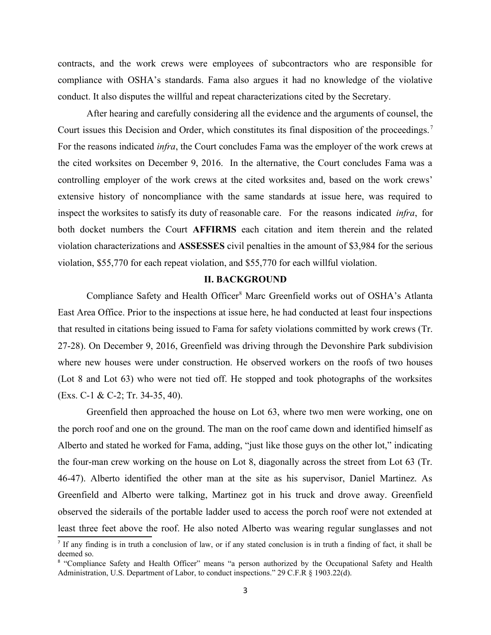contracts, and the work crews were employees of subcontractors who are responsible for compliance with OSHA's standards. Fama also argues it had no knowledge of the violative conduct. It also disputes the willful and repeat characterizations cited by the Secretary.

Court issues this Decision and Order, which constitutes its final disposition of the proceedings.<sup>[7](#page-2-0)</sup> For the reasons indicated *infra*, the Court concludes Fama was the employer of the work crews at the cited worksites on December 9, 2016. In the alternative, the Court concludes Fama was a controlling employer of the work crews at the cited worksites and, based on the work crews' extensive history of noncompliance with the same standards at issue here, was required to inspect the worksites to satisfy its duty of reasonable care. For the reasons indicated *infra*, for both docket numbers the Court **AFF RMS** each citation and item therein and the related After hearing and carefully considering all the evidence and the arguments of counsel, the violation characterizations and **ASSESSES** civil penalties in the amount of \$3,984 for the serious violation, \$55,770 for each repeat violation, and \$55,770 for each willful violation.

## **II. BACKGROUND**

Compliance Safety and Health Officer<sup>8</sup> Marc Greenfield works out of OSHA's Atlanta East Area Office. Prior to the inspections at issue here, he had conducted at least four inspections 27-28). On December 9, 2016, Greenfield was driving through the Devonshire Park subdivision where new houses were under construction. He observed workers on the roofs of two houses (Lot 8 and Lot 63) who were not tied off. He stopped and took photographs of the worksites that resulted in citations being issued to Fama for safety violations committed by work crews (Tr. (Exs. C-1 & C-2; Tr. 34-35, 40).

 Greenfield then approached the house on Lot 63, where two men were working, one on the porch roof and one on the ground. The man on the roof came down and identified himself as Alberto and stated he worked for Fama, adding, "just like those guys on the other lot," indicating the four-man crew working on the house on Lot 8, diagonally across the street from Lot 63 (Tr. 46-47). Alberto identified the other man at the site as his supervisor, Daniel Martinez. As Greenfield and Alberto were talking, Martinez got in his truck and drove away. Greenfield observed the siderails of the portable ladder used to access the porch roof were not extended at least three feet above the roof. He also noted Alberto was wearing regular sunglasses and not

<span id="page-2-0"></span>If any finding is in truth a conclusion of law, or if any stated conclusion is in truth a finding of fact, it shall be deemed so.

<span id="page-2-1"></span> <sup>8</sup> "Compliance Safety and Health Officer" means "a person authorized by the Occupational Safety and Health Administration, U.S. Department of Labor, to conduct inspections." 29 C.F.R § 1903.22(d).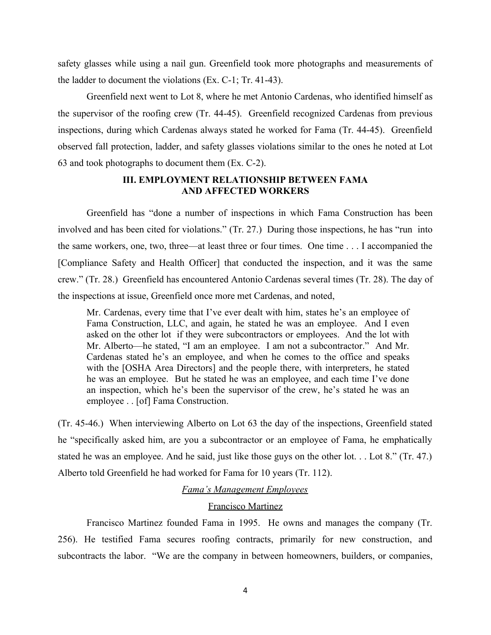safety glasses while using a nail gun. Greenfield took more photographs and measurements of the ladder to document the violations (Ex. C-1; Tr. 41-43).

 Greenfield next went to Lot 8, where he met Antonio Cardenas, who identified himself as the supervisor of the roofing crew (Tr. 44-45). Greenfield recognized Cardenas from previous inspections, during which Cardenas always stated he worked for Fama (Tr. 44-45). Greenfield observed fall protection, ladder, and safety glasses violations similar to the ones he noted at Lot 63 and took photographs to document them (Ex. C-2).

# **III. EMPLOYMENT RELATIONSHIP BETWEEN FAMA AND AFFECTED WORKERS**

 Greenfield has "done a number of inspections in which Fama Construction has been involved and has been cited for violations." (Tr. 27.) During those inspections, he has "run into the same workers, one, two, three—at least three or four times. One time . . . I accompanied the [Compliance Safety and Health Officer] that conducted the inspection, and it was the same crew." (Tr. 28.) Greenfield has encountered Antonio Cardenas several times (Tr. 28). The day of the inspections at issue, Greenfield once more met Cardenas, and noted, the inspections at issue, Greenfield once more met Cardenas, and noted, Mr. Cardenas, every time that I've ever dealt with him, states he's an employee of

 Fama Construction, LLC, and again, he stated he was an employee. And I even asked on the other lot if they were subcontractors or employees. And the lot with Mr. Alberto—he stated, "I am an employee. I am not a subcontractor." And Mr. Cardenas stated he's an employee, and when he comes to the office and speaks with the [OSHA Area Directors] and the people there, with interpreters, he stated he was an employee. But he stated he was an employee, and each time I've done an inspection, which he's been the supervisor of the crew, he's stated he was an employee . . [of] Fama Construction.

 (Tr. 45-46.) When interviewing Alberto on Lot 63 the day of the inspections, Greenfield stated he "specifically asked him, are you a subcontractor or an employee of Fama, he emphatically stated he was an employee. And he said, just like those guys on the other lot. . . Lot 8." (Tr. 47.) Alberto told Greenfield he had worked for Fama for 10 years (Tr. 112).

## *Fama's Management Employees*

#### Francisco Martinez

 Francisco Martinez founded Fama in 1995. He owns and manages the company (Tr. 256). He testified Fama secures roofing contracts, primarily for new construction, and subcontracts the labor. "We are the company in between homeowners, builders, or companies,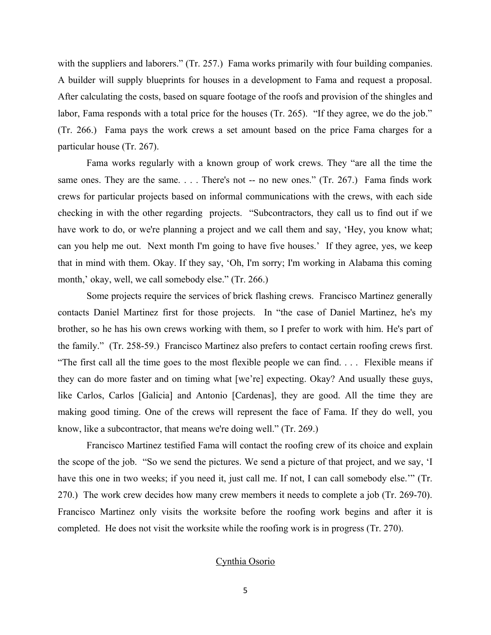with the suppliers and laborers." (Tr. 257.) Fama works primarily with four building companies. A builder will supply blueprints for houses in a development to Fama and request a proposal. labor, Fama responds with a total price for the houses (Tr. 265). "If they agree, we do the job." (Tr. 266.) Fama pays the work crews a set amount based on the price Fama charges for a After calculating the costs, based on square footage of the roofs and provision of the shingles and particular house (Tr. 267).

 Fama works regularly with a known group of work crews. They "are all the time the same ones. They are the same. . . . There's not -- no new ones." (Tr. 267.) Fama finds work crews for particular projects based on informal communications with the crews, with each side checking in with the other regarding projects. "Subcontractors, they call us to find out if we have work to do, or we're planning a project and we call them and say, 'Hey, you know what; can you help me out. Next month I'm going to have five houses.' If they agree, yes, we keep that in mind with them. Okay. If they say, 'Oh, I'm sorry; I'm working in Alabama this coming month,' okay, well, we call somebody else." (Tr. 266.)

 Some projects require the services of brick flashing crews. Francisco Martinez generally contacts Daniel Martinez first for those projects. In "the case of Daniel Martinez, he's my brother, so he has his own crews working with them, so I prefer to work with him. He's part of the family." (Tr. 258-59.) Francisco Martinez also prefers to contact certain roofing crews first. "The first call all the time goes to the most flexible people we can find. . . . Flexible means if they can do more faster and on timing what [we're] expecting. Okay? And usually these guys, like Carlos, Carlos [Galicia] and Antonio [Cardenas], they are good. All the time they are making good timing. One of the crews will represent the face of Fama. If they do well, you know, like a subcontractor, that means we're doing well." (Tr. 269.)

 Francisco Martinez testified Fama will contact the roofing crew of its choice and explain the scope of the job. "So we send the pictures. We send a picture of that project, and we say, 'I have this one in two weeks; if you need it, just call me. If not, I can call somebody else.'" (Tr. 270.) The work crew decides how many crew members it needs to complete a job (Tr. 269-70). Francisco Martinez only visits the worksite before the roofing work begins and after it is completed. He does not visit the worksite while the roofing work is in progress (Tr. 270).

#### Cynthia Osorio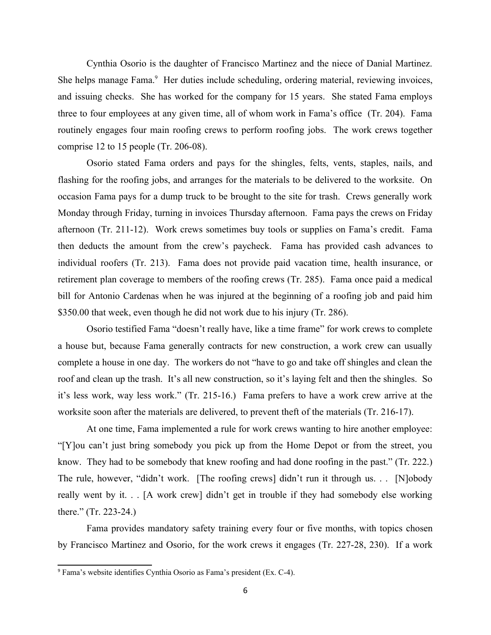Cynthia Osorio is the daughter of Francisco Martinez and the niece of Danial Martinez. She helps manage Fama.<sup>9</sup> Her duties include scheduling, ordering material, reviewing invoices, and issuing checks. She has worked for the company for 15 years. She stated Fama employs three to four employees at any given time, all of whom work in Fama's office (Tr. 204). Fama routinely engages four main roofing crews to perform roofing jobs. The work crews together comprise 12 to 15 people (Tr. 206-08).

 Osorio stated Fama orders and pays for the shingles, felts, vents, staples, nails, and flashing for the roofing jobs, and arranges for the materials to be delivered to the worksite. On occasion Fama pays for a dump truck to be brought to the site for trash. Crews generally work Monday through Friday, turning in invoices Thursday afternoon. Fama pays the crews on Friday afternoon (Tr. 211-12). Work crews sometimes buy tools or supplies on Fama's credit. Fama then deducts the amount from the crew's paycheck. Fama has provided cash advances to individual roofers (Tr. 213). Fama does not provide paid vacation time, health insurance, or retirement plan coverage to members of the roofing crews (Tr. 285). Fama once paid a medical bill for Antonio Cardenas when he was injured at the beginning of a roofing job and paid him \$350.00 that week, even though he did not work due to his injury (Tr. 286).

 a house but, because Fama generally contracts for new construction, a work crew can usually complete a house in one day. The workers do not "have to go and take off shingles and clean the roof and clean up the trash. It's all new construction, so it's laying felt and then the shingles. So it's less work, way less work." (Tr. 215-16.) Fama prefers to have a work crew arrive at the Osorio testified Fama "doesn't really have, like a time frame" for work crews to complete worksite soon after the materials are delivered, to prevent theft of the materials (Tr. 216-17).

 At one time, Fama implemented a rule for work crews wanting to hire another employee: "[Y]ou can't just bring somebody you pick up from the Home Depot or from the street, you know. They had to be somebody that knew roofing and had done roofing in the past." (Tr. 222.) The rule, however, "didn't work. [The roofing crews] didn't run it through us. . . [N]obody really went by it. . . [A work crew] didn't get in trouble if they had somebody else working there." (Tr. 223-24.)

 Fama provides mandatory safety training every four or five months, with topics chosen by Francisco Martinez and Osorio, for the work crews it engages (Tr. 227-28, 230). If a work

<span id="page-5-0"></span><sup>9</sup> Fama's website identifies Cynthia Osorio as Fama's president (Ex. C-4).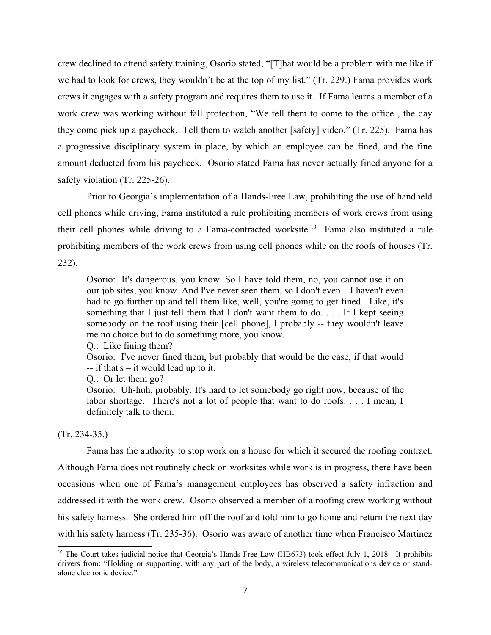crew declined to attend safety training, Osorio stated, "[T]hat would be a problem with me like if we had to look for crews, they wouldn't be at the top of my list." (Tr. 229.) Fama provides work work crew was working without fall protection, "We tell them to come to the office , the day they come pick up a paycheck. Tell them to watch another [safety] video." (Tr. 225). Fama has a progressive disciplinary system in place, by which an employee can be fined, and the fine amount deducted from his paycheck. Osorio stated Fama has never actually fined anyone for a crews it engages with a safety program and requires them to use it. If Fama learns a member of a safety violation (Tr. 225-26).

 Prior to Georgia's implementation of a Hands-Free Law, prohibiting the use of handheld cell phones while driving, Fama instituted a rule prohibiting members of work crews from using their cell phones while driving to a Fama-contracted worksite.<sup>10</sup> Fama also instituted a rule prohibiting members of the work crews from using cell phones while on the roofs of houses (Tr. 232).

 Osorio: It's dangerous, you know. So I have told them, no, you cannot use it on our job sites, you know. And I've never seen them, so I don't even – I haven't even had to go further up and tell them like, well, you're going to get fined. Like, it's something that I just tell them that I don't want them to do. . . . If I kept seeing somebody on the roof using their [cell phone], I probably -- they wouldn't leave me no choice but to do something more, you know.

Q.: Like fining them?

 Osorio: I've never fined them, but probably that would be the case, if that would  $-$  if that's  $-$  it would lead up to it.

Q.: Or let them go?

 Osorio: Uh-huh, probably. It's hard to let somebody go right now, because of the labor shortage. There's not a lot of people that want to do roofs. . . . I mean, I definitely talk to them.

### (Tr. 234-35.)

 Fama has the authority to stop work on a house for which it secured the roofing contract. Although Fama does not routinely check on worksites while work is in progress, there have been occasions when one of Fama's management employees has observed a safety infraction and addressed it with the work crew. Osorio observed a member of a roofing crew working without his safety harness. She ordered him off the roof and told him to go home and return the next day with his safety harness (Tr. 235-36). Osorio was aware of another time when Francisco Martinez

<span id="page-6-0"></span><sup>&</sup>lt;sup>10</sup> The Court takes judicial notice that Georgia's Hands-Free Law (HB673) took effect July 1, 2018. It prohibits drivers from: "Holding or supporting, with any part of the body, a wireless telecommunications device or standalone electronic device."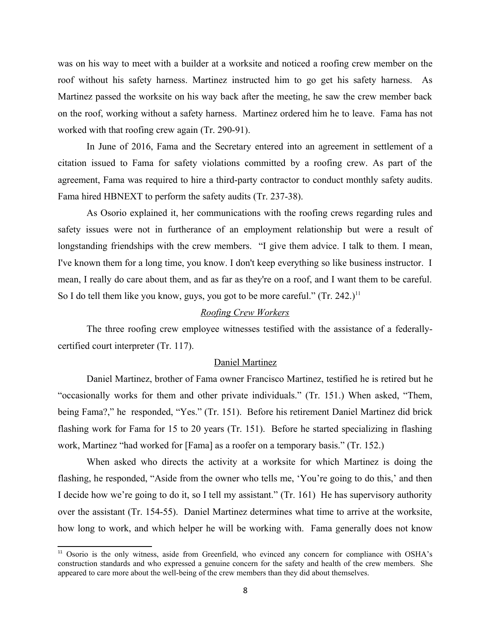was on his way to meet with a builder at a worksite and noticed a roofing crew member on the roof without his safety harness. Martinez instructed him to go get his safety harness. As Martinez passed the worksite on his way back after the meeting, he saw the crew member back on the roof, working without a safety harness. Martinez ordered him he to leave. Fama has not worked with that roofing crew again (Tr. 290-91).

 In June of 2016, Fama and the Secretary entered into an agreement in settlement of a citation issued to Fama for safety violations committed by a roofing crew. As part of the agreement, Fama was required to hire a third-party contractor to conduct monthly safety audits. Fama hired HBNEXT to perform the safety audits (Tr. 237-38).

 As Osorio explained it, her communications with the roofing crews regarding rules and safety issues were not in furtherance of an employment relationship but were a result of longstanding friendships with the crew members. "I give them advice. I talk to them. I mean, I've known them for a long time, you know. I don't keep everything so like business instructor. I mean, I really do care about them, and as far as they're on a roof, and I want them to be careful. So I do tell them like you know, guys, you got to be more careful."  $(Tr. 242.)^{11}$  $(Tr. 242.)^{11}$  $(Tr. 242.)^{11}$ 

# *Roofing Crew Workers*

 The three roofing crew employee witnesses testified with the assistance of a federallycertified court interpreter (Tr. 117).

# Daniel Martinez

 Daniel Martinez, brother of Fama owner Francisco Martinez, testified he is retired but he "occasionally works for them and other private individuals." (Tr. 151.) When asked, "Them, being Fama?," he responded, "Yes." (Tr. 151). Before his retirement Daniel Martinez did brick flashing work for Fama for 15 to 20 years (Tr. 151). Before he started specializing in flashing work, Martinez "had worked for [Fama] as a roofer on a temporary basis." (Tr. 152.)

 When asked who directs the activity at a worksite for which Martinez is doing the flashing, he responded, "Aside from the owner who tells me, 'You're going to do this,' and then I decide how we're going to do it, so I tell my assistant." (Tr. 161) He has supervisory authority over the assistant (Tr. 154-55). Daniel Martinez determines what time to arrive at the worksite, how long to work, and which helper he will be working with. Fama generally does not know

<span id="page-7-0"></span><sup>&</sup>lt;sup>11</sup> Osorio is the only witness, aside from Greenfield, who evinced any concern for compliance with OSHA's construction standards and who expressed a genuine concern for the safety and health of the crew members. She appeared to care more about the well-being of the crew members than they did about themselves.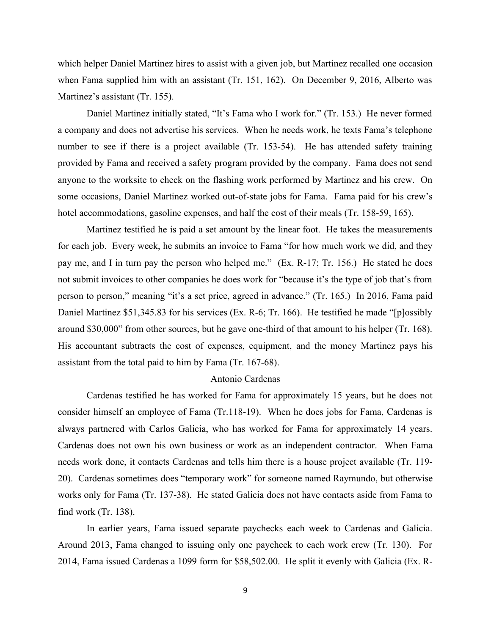which helper Daniel Martinez hires to assist with a given job, but Martinez recalled one occasion when Fama supplied him with an assistant (Tr. 151, 162). On December 9, 2016, Alberto was Martinez's assistant (Tr. 155).

 Daniel Martinez initially stated, "It's Fama who I work for." (Tr. 153.) He never formed a company and does not advertise his services. When he needs work, he texts Fama's telephone number to see if there is a project available (Tr. 153-54). He has attended safety training provided by Fama and received a safety program provided by the company. Fama does not send anyone to the worksite to check on the flashing work performed by Martinez and his crew. On some occasions, Daniel Martinez worked out-of-state jobs for Fama. Fama paid for his crew's hotel accommodations, gasoline expenses, and half the cost of their meals (Tr. 158-59, 165).

 Martinez testified he is paid a set amount by the linear foot. He takes the measurements for each job. Every week, he submits an invoice to Fama "for how much work we did, and they pay me, and I in turn pay the person who helped me." (Ex. R-17; Tr. 156.) He stated he does not submit invoices to other companies he does work for "because it's the type of job that's from person to person," meaning "it's a set price, agreed in advance." (Tr. 165.) In 2016, Fama paid Daniel Martinez \$51,345.83 for his services (Ex. R-6; Tr. 166). He testified he made "[p]ossibly around \$30,000" from other sources, but he gave one-third of that amount to his helper (Tr. 168). His accountant subtracts the cost of expenses, equipment, and the money Martinez pays his assistant from the total paid to him by Fama (Tr. 167-68).

### Antonio Cardenas

 Cardenas testified he has worked for Fama for approximately 15 years, but he does not consider himself an employee of Fama (Tr.118-19). When he does jobs for Fama, Cardenas is always partnered with Carlos Galicia, who has worked for Fama for approximately 14 years. Cardenas does not own his own business or work as an independent contractor. When Fama needs work done, it contacts Cardenas and tells him there is a house project available (Tr. 119- 20). Cardenas sometimes does "temporary work" for someone named Raymundo, but otherwise works only for Fama (Tr. 137-38). He stated Galicia does not have contacts aside from Fama to find work (Tr. 138).

 In earlier years, Fama issued separate paychecks each week to Cardenas and Galicia. Around 2013, Fama changed to issuing only one paycheck to each work crew (Tr. 130). For 2014, Fama issued Cardenas a 1099 form for \$58,502.00. He split it evenly with Galicia (Ex. R-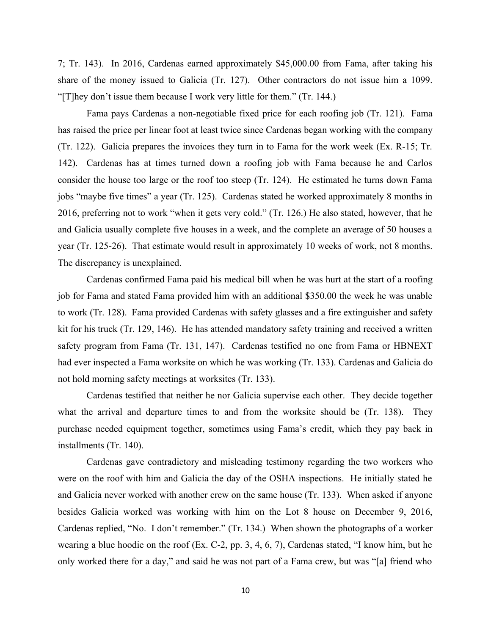7; Tr. 143). In 2016, Cardenas earned approximately \$45,000.00 from Fama, after taking his share of the money issued to Galicia (Tr. 127). Other contractors do not issue him a 1099. "[T]hey don't issue them because I work very little for them." (Tr. 144.)

 Fama pays Cardenas a non-negotiable fixed price for each roofing job (Tr. 121). Fama (Tr. 122). Galicia prepares the invoices they turn in to Fama for the work week (Ex. R-15; Tr. 142). Cardenas has at times turned down a roofing job with Fama because he and Carlos consider the house too large or the roof too steep (Tr. 124). He estimated he turns down Fama jobs "maybe five times" a year (Tr. 125). Cardenas stated he worked approximately 8 months in 2016, preferring not to work "when it gets very cold." (Tr. 126.) He also stated, however, that he and Galicia usually complete five houses in a week, and the complete an average of 50 houses a year (Tr. 125-26). That estimate would result in approximately 10 weeks of work, not 8 months. has raised the price per linear foot at least twice since Cardenas began working with the company The discrepancy is unexplained.

 Cardenas confirmed Fama paid his medical bill when he was hurt at the start of a roofing job for Fama and stated Fama provided him with an additional \$350.00 the week he was unable kit for his truck (Tr. 129, 146). He has attended mandatory safety training and received a written safety program from Fama (Tr. 131, 147). Cardenas testified no one from Fama or HBNEXT to work (Tr. 128). Fama provided Cardenas with safety glasses and a fire extinguisher and safety had ever inspected a Fama worksite on which he was working (Tr. 133). Cardenas and Galicia do not hold morning safety meetings at worksites (Tr. 133).

 Cardenas testified that neither he nor Galicia supervise each other. They decide together what the arrival and departure times to and from the worksite should be (Tr. 138). They purchase needed equipment together, sometimes using Fama's credit, which they pay back in installments (Tr. 140).

 Cardenas gave contradictory and misleading testimony regarding the two workers who were on the roof with him and Galicia the day of the OSHA inspections. He initially stated he and Galicia never worked with another crew on the same house (Tr. 133). When asked if anyone besides Galicia worked was working with him on the Lot 8 house on December 9, 2016, Cardenas replied, "No. I don't remember." (Tr. 134.) When shown the photographs of a worker wearing a blue hoodie on the roof (Ex. C-2, pp. 3, 4, 6, 7), Cardenas stated, "I know him, but he only worked there for a day," and said he was not part of a Fama crew, but was "[a] friend who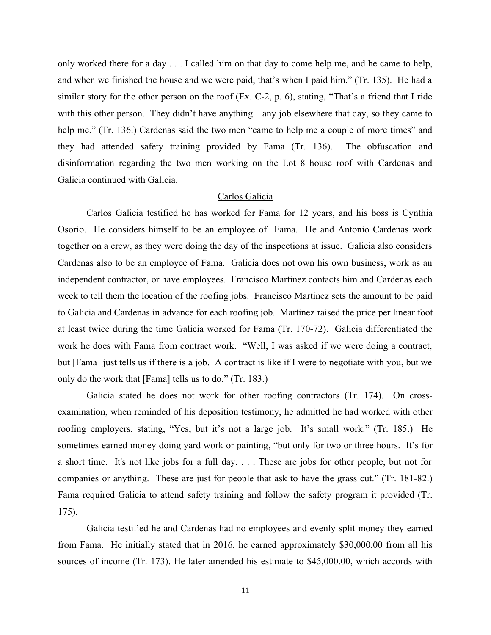only worked there for a day . . . I called him on that day to come help me, and he came to help, and when we finished the house and we were paid, that's when I paid him." (Tr. 135). He had a similar story for the other person on the roof (Ex. C-2, p. 6), stating, "That's a friend that I ride with this other person. They didn't have anything—any job elsewhere that day, so they came to help me." (Tr. 136.) Cardenas said the two men "came to help me a couple of more times" and they had attended safety training provided by Fama (Tr. 136). The obfuscation and disinformation regarding the two men working on the Lot 8 house roof with Cardenas and Galicia continued with Galicia.

### Carlos Galicia

 Carlos Galicia testified he has worked for Fama for 12 years, and his boss is Cynthia Osorio. He considers himself to be an employee of Fama. He and Antonio Cardenas work together on a crew, as they were doing the day of the inspections at issue. Galicia also considers Cardenas also to be an employee of Fama. Galicia does not own his own business, work as an independent contractor, or have employees. Francisco Martinez contacts him and Cardenas each week to tell them the location of the roofing jobs. Francisco Martinez sets the amount to be paid at least twice during the time Galicia worked for Fama (Tr. 170-72). Galicia differentiated the work he does with Fama from contract work. "Well, I was asked if we were doing a contract, but [Fama] just tells us if there is a job. A contract is like if I were to negotiate with you, but we to Galicia and Cardenas in advance for each roofing job. Martinez raised the price per linear foot only do the work that [Fama] tells us to do." (Tr. 183.)

 Galicia stated he does not work for other roofing contractors (Tr. 174). On cross- examination, when reminded of his deposition testimony, he admitted he had worked with other roofing employers, stating, "Yes, but it's not a large job. It's small work." (Tr. 185.) He sometimes earned money doing yard work or painting, "but only for two or three hours. It's for a short time. It's not like jobs for a full day. . . . These are jobs for other people, but not for companies or anything. These are just for people that ask to have the grass cut." (Tr. 181-82.) Fama required Galicia to attend safety training and follow the safety program it provided (Tr. 175).

 Galicia testified he and Cardenas had no employees and evenly split money they earned from Fama. He initially stated that in 2016, he earned approximately \$30,000.00 from all his sources of income (Tr. 173). He later amended his estimate to \$45,000.00, which accords with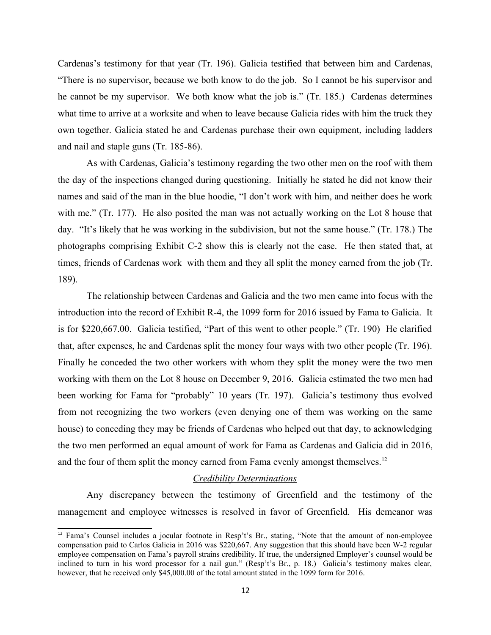Cardenas's testimony for that year (Tr. 196). Galicia testified that between him and Cardenas, "There is no supervisor, because we both know to do the job. So I cannot be his supervisor and he cannot be my supervisor. We both know what the job is." (Tr. 185.) Cardenas determines what time to arrive at a worksite and when to leave because Galicia rides with him the truck they own together. Galicia stated he and Cardenas purchase their own equipment, including ladders and nail and staple guns (Tr. 185-86).

 As with Cardenas, Galicia's testimony regarding the two other men on the roof with them the day of the inspections changed during questioning. Initially he stated he did not know their names and said of the man in the blue hoodie, "I don't work with him, and neither does he work with me." (Tr. 177). He also posited the man was not actually working on the Lot 8 house that day. "It's likely that he was working in the subdivision, but not the same house." (Tr. 178.) The photographs comprising Exhibit C-2 show this is clearly not the case. He then stated that, at times, friends of Cardenas work with them and they all split the money earned from the job (Tr. 189).

 The relationship between Cardenas and Galicia and the two men came into focus with the introduction into the record of Exhibit R-4, the 1099 form for 2016 issued by Fama to Galicia. It is for \$220,667.00. Galicia testified, "Part of this went to other people." (Tr. 190) He clarified that, after expenses, he and Cardenas split the money four ways with two other people (Tr. 196). Finally he conceded the two other workers with whom they split the money were the two men working with them on the Lot 8 house on December 9, 2016. Galicia estimated the two men had been working for Fama for "probably" 10 years (Tr. 197). Galicia's testimony thus evolved from not recognizing the two workers (even denying one of them was working on the same house) to conceding they may be friends of Cardenas who helped out that day, to acknowledging the two men performed an equal amount of work for Fama as Cardenas and Galicia did in 2016, and the four of them split the money earned from Fama evenly amongst themselves.<sup>[12](#page-11-0)</sup>

#### *Credibility Determinations*

 Any discrepancy between the testimony of Greenfield and the testimony of the management and employee witnesses is resolved in favor of Greenfield. His demeanor was

<span id="page-11-0"></span> $12$  Fama's Counsel includes a jocular footnote in Resp't's Br., stating, "Note that the amount of non-employee compensation paid to Carlos Galicia in 2016 was \$220,667. Any suggestion that this should have been W-2 regular employee compensation on Fama's payroll strains credibility. If true, the undersigned Employer's counsel would be inclined to turn in his word processor for a nail gun." (Resp't's Br., p. 18.) Galicia's testimony makes clear, however, that he received only \$45,000.00 of the total amount stated in the 1099 form for 2016.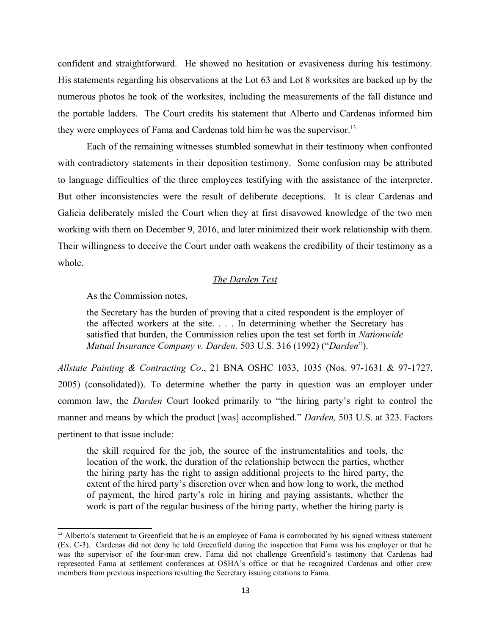confident and straightforward. He showed no hesitation or evasiveness during his testimony. His statements regarding his observations at the Lot 63 and Lot 8 worksites are backed up by the numerous photos he took of the worksites, including the measurements of the fall distance and the portable ladders. The Court credits his statement that Alberto and Cardenas informed him they were employees of Fama and Cardenas told him he was the supervisor.<sup>[13](#page-12-0)</sup>

 Each of the remaining witnesses stumbled somewhat in their testimony when confronted with contradictory statements in their deposition testimony. Some confusion may be attributed to language difficulties of the three employees testifying with the assistance of the interpreter. But other inconsistencies were the result of deliberate deceptions. It is clear Cardenas and Galicia deliberately misled the Court when they at first disavowed knowledge of the two men working with them on December 9, 2016, and later minimized their work relationship with them. Their willingness to deceive the Court under oath weakens the credibility of their testimony as a whole.

# *The Darden Test*

As the Commission notes,

 the Secretary has the burden of proving that a cited respondent is the employer of the affected workers at the site. . . . In determining whether the Secretary has satisfied that burden, the Commission relies upon the test set forth in *Nationwide Mutu l Insur nce Comp ny v. D rden,* 503 U.S. 316 (1992) ("*D rden*").

Allstate Painting & Contracting Co., 21 BNA OSHC 1033, 1035 (Nos. 97-1631 & 97-1727, 2005) (consolidated)). To determine whether the party in question was an employer under common law, the *Darden* Court looked primarily to "the hiring party's right to control the manner and means by which the product [was] accomplished." *Darden*, 503 U.S. at 323. Factors pertinent to that issue include:

 the skill required for the job, the source of the instrumentalities and tools, the location of the work, the duration of the relationship between the parties, whether the hiring party has the right to assign additional projects to the hired party, the of payment, the hired party's role in hiring and paying assistants, whether the work is part of the regular business of the hiring party, whether the hiring party is extent of the hired party's discretion over when and how long to work, the method

<span id="page-12-0"></span><sup>&</sup>lt;sup>13</sup> Alberto's statement to Greenfield that he is an employee of Fama is corroborated by his signed witness statement (Ex. C-3). Cardenas did not deny he told Greenfield during the inspection that Fama was his employer or that he was the supervisor of the four-man crew. Fama did not challenge Greenfield's testimony that Cardenas had represented Fama at settlement conferences at OSHA's office or that he recognized Cardenas and other crew members from previous inspections resulting the Secretary issuing citations to Fama.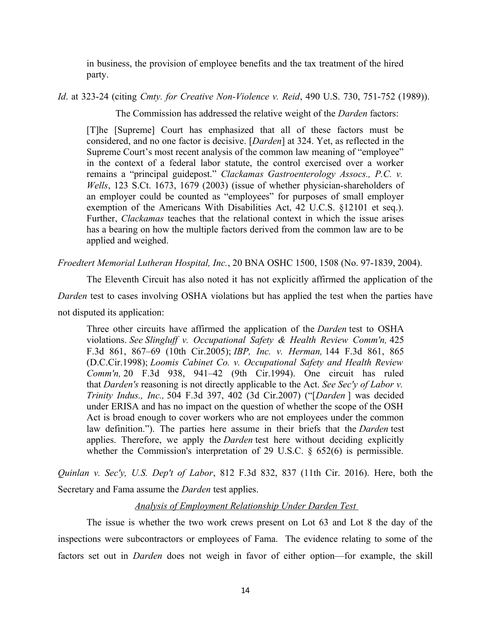in business, the provision of employee benefits and the tax treatment of the hired party.

*Id.* at 323-24 (citing *Cmty. for Creative Non-Violence v. Reid*, 490 U.S. 730, 751-752 (1989)).

The Commission has addressed the relative weight of the *Darden* factors:

 [T]he [Supreme] Court has emphasized that all of these factors must be considered, and no one factor is decisive. [*Darden*] at 324. Yet, as reflected in the in the context of a federal labor statute, the control exercised over a worker remains a "principal guidepost." *Clackamas Gastroenterology Assocs., P.C. v. Wells*, 123 S.Ct. 1673, 1679 (2003) (issue of whether physician-shareholders of an employer could be counted as "employees" for purposes of small employer exemption of the Americans With Disabilities Act, 42 U.C.S. §12101 et seq.). Further, *Clackamas* teaches that the relational context in which the issue arises has a bearing on how the multiple factors derived from the common law are to be Supreme Court's most recent analysis of the common law meaning of "employee" applied and weighed.

*Froedtert Memorial Lutheran Hospital, Inc., 20 BNA OSHC 1500, 1508 (No. 97-1839, 2004).* 

 The Eleventh Circuit has also noted it has not explicitly affirmed the application of the Darden test to cases involving OSHA violations but has applied the test when the parties have not disputed its application:

not disputed its application:<br>Three other circuits have affirmed the application of the *Darden* test to OSHA violations. *See Slingluff v. Occupational Safety & Health Review Comm'n,* 425 F.3d 861, 867–69 (10th Cir.2005); *IBP, Inc. v. Herman*, 144 F.3d 861, 865 (D.C.Cir.1998); *Loomis Cabinet Co. v. Occupational Safety and Health Review Comm'n,* 20 F.3d 938, 941–42 (9th Cir.1994). One circuit has ruled that *Darden's* reasoning is not directly applicable to the Act. *See Sec'y of Labor v*. *Trinity Indus., Inc.,* 504 F.3d 397, 402 (3d Cir.2007) ("[*Darden*] was decided under ERISA and has no impact on the question of whether the scope of the OSH Act is broad enough to cover workers who are not employees under the common law definition."). The parties here assume in their briefs that the *Darden* test applies. Therefore, we apply the *Darden* test here without deciding explicitly whether the Commission's interpretation of 29 U.S.C. § 652(6) is permissible.

Quinlan v. Sec'y, U.S. Dep't of Labor, 812 F.3d 832, 837 (11th Cir. 2016). Here, both the Secretary and Fama assume the *Darden* test applies.

### *<u>Analysis of Employment Relationship Under Darden Test</u>*

 The issue is whether the two work crews present on Lot 63 and Lot 8 the day of the inspections were subcontractors or employees of Fama. The evidence relating to some of the factors set out in *Darden* does not weigh in favor of either option—for example, the skill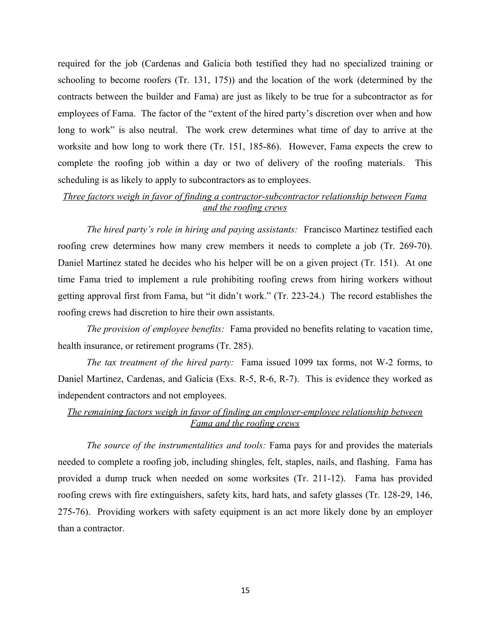required for the job (Cardenas and Galicia both testified they had no specialized training or schooling to become roofers (Tr. 131, 175)) and the location of the work (determined by the contracts between the builder and Fama) are just as likely to be true for a subcontractor as for employees of Fama. The factor of the "extent of the hired party's discretion over when and how long to work" is also neutral. The work crew determines what time of day to arrive at the worksite and how long to work there (Tr. 151, 185-86). However, Fama expects the crew to complete the roofing job within a day or two of delivery of the roofing materials. This scheduling is as likely to apply to subcontractors as to employees.

# *Three factors weigh in favor of finding a contractor-subcontractor relationship between Fama nd the roofing crews*

The hired party's role in hiring and paying assistants: Francisco Martinez testified each roofing crew determines how many crew members it needs to complete a job (Tr. 269-70). Daniel Martinez stated he decides who his helper will be on a given project (Tr. 151). At one time Fama tried to implement a rule prohibiting roofing crews from hiring workers without getting approval first from Fama, but "it didn't work." (Tr. 223-24.) The record establishes the roofing crews had discretion to hire their own assistants.

 *The provision of employee benefits:* Fama provided no benefits relating to vacation time, health insurance, or retirement programs (Tr. 285).

*The tax treatment of the hired party:* Fama issued 1099 tax forms, not W-2 forms, to Daniel Martinez, Cardenas, and Galicia (Exs. R-5, R-6, R-7). This is evidence they worked as independent contractors and not employees.

# *The remaining factors weigh in favor of finding an employer-employee relationship between Fama and the roofing crews*

The source of the instrumentalities and tools: Fama pays for and provides the materials needed to complete a roofing job, including shingles, felt, staples, nails, and flashing. Fama has provided a dump truck when needed on some worksites (Tr. 211-12). Fama has provided roofing crews with fire extinguishers, safety kits, hard hats, and safety glasses (Tr. 128-29, 146, 275-76). Providing workers with safety equipment is an act more likely done by an employer than a contractor.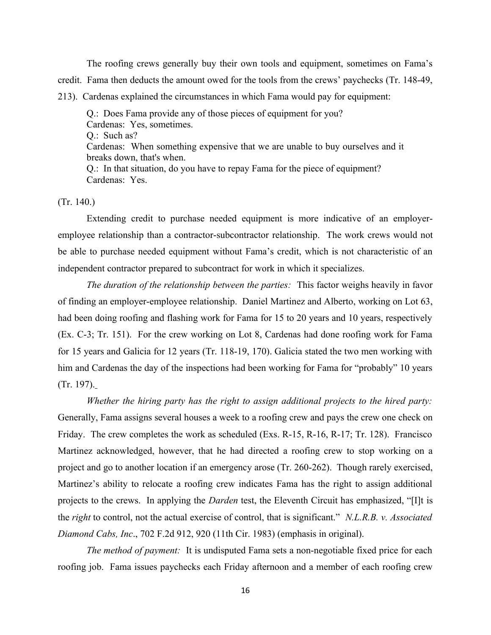The roofing crews generally buy their own tools and equipment, sometimes on Fama's credit. Fama then deducts the amount owed for the tools from the crews' paychecks (Tr. 148-49, 213). Cardenas explained the circumstances in which Fama would pay for equipment:

 Cardenas: When something expensive that we are unable to buy ourselves and it Q.: Does Fama provide any of those pieces of equipment for you? Cardenas: Yes, sometimes. Q.: Such as? breaks down, that's when. Q.: In that situation, do you have to repay Fama for the piece of equipment? Cardenas: Yes.

(Tr. 140.)

 Extending credit to purchase needed equipment is more indicative of an employer- employee relationship than a contractor-subcontractor relationship. The work crews would not be able to purchase needed equipment without Fama's credit, which is not characteristic of an independent contractor prepared to subcontract for work in which it specializes.

*The duration of the relationship between the parties:* This factor weighs heavily in favor of finding an employer-employee relationship. Daniel Martinez and Alberto, working on Lot 63, had been doing roofing and flashing work for Fama for 15 to 20 years and 10 years, respectively (Ex. C-3; Tr. 151). For the crew working on Lot 8, Cardenas had done roofing work for Fama for 15 years and Galicia for 12 years (Tr. 118-19, 170). Galicia stated the two men working with him and Cardenas the day of the inspections had been working for Fama for "probably" 10 years - (Tr. 197).

*Whether the hiring party has the right to assign additional projects to the hired party:*  Friday. The crew completes the work as scheduled (Exs. R-15, R-16, R-17; Tr. 128). Francisco Martinez acknowledged, however, that he had directed a roofing crew to stop working on a Martinez's ability to relocate a roofing crew indicates Fama has the right to assign additional projects to the crews. In applying the *Darden* test, the Eleventh Circuit has emphasized, "[I]t is the *right* to control, not the actual exercise of control, that is significant." *N.L.R.B. v. Associated* Generally, Fama assigns several houses a week to a roofing crew and pays the crew one check on project and go to another location if an emergency arose (Tr. 260-262). Though rarely exercised, *Diamond Cabs, Inc.*, 702 F.2d 912, 920 (11th Cir. 1983) (emphasis in original).

*The method of payment:* It is undisputed Fama sets a non-negotiable fixed price for each roofing job. Fama issues paychecks each Friday afternoon and a member of each roofing crew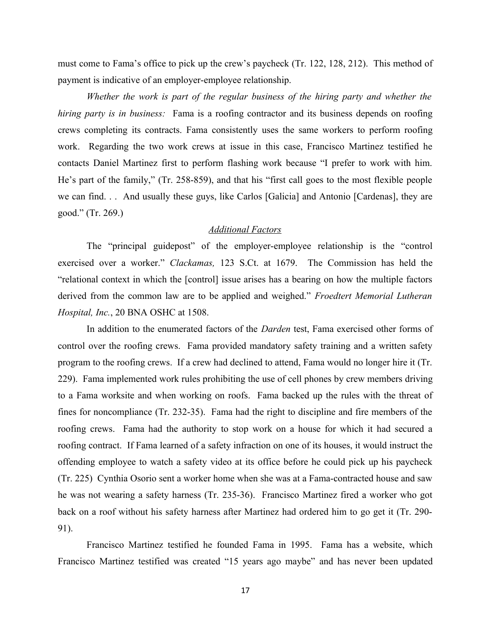must come to Fama's office to pick up the crew's paycheck (Tr. 122, 128, 212). This method of payment is indicative of an employer-employee relationship.

Whether the work is part of the regular business of the hiring party and whether the *hiring party is in business:* Fama is a roofing contractor and its business depends on roofing crews completing its contracts. Fama consistently uses the same workers to perform roofing work. Regarding the two work crews at issue in this case, Francisco Martinez testified he contacts Daniel Martinez first to perform flashing work because "I prefer to work with him. He's part of the family," (Tr. 258-859), and that his "first call goes to the most flexible people we can find. . . And usually these guys, like Carlos [Galicia] and Antonio [Cardenas], they are good." (Tr. 269.)

# **Additional Factors**

 The "principal guidepost" of the employer-employee relationship is the "control exercised over a worker." *Clackamas*, 123 S.Ct. at 1679. The Commission has held the "relational context in which the [control] issue arises has a bearing on how the multiple factors derived from the common law are to be applied and weighed." *Froedtert Memorial Lutheran Hospital, Inc., 20 BNA OSHC at 1508.* 

In addition to the enumerated factors of the *Darden* test, Fama exercised other forms of control over the roofing crews. Fama provided mandatory safety training and a written safety 229). Fama implemented work rules prohibiting the use of cell phones by crew members driving to a Fama worksite and when working on roofs. Fama backed up the rules with the threat of fines for noncompliance (Tr. 232-35). Fama had the right to discipline and fire members of the roofing crews. Fama had the authority to stop work on a house for which it had secured a roofing contract. If Fama learned of a safety infraction on one of its houses, it would instruct the offending employee to watch a safety video at its office before he could pick up his paycheck (Tr. 225) Cynthia Osorio sent a worker home when she was at a Fama-contracted house and saw he was not wearing a safety harness (Tr. 235-36). Francisco Martinez fired a worker who got back on a roof without his safety harness after Martinez had ordered him to go get it (Tr. 290 program to the roofing crews. If a crew had declined to attend, Fama would no longer hire it (Tr. 91).

 Francisco Martinez testified he founded Fama in 1995. Fama has a website, which Francisco Martinez testified was created "15 years ago maybe" and has never been updated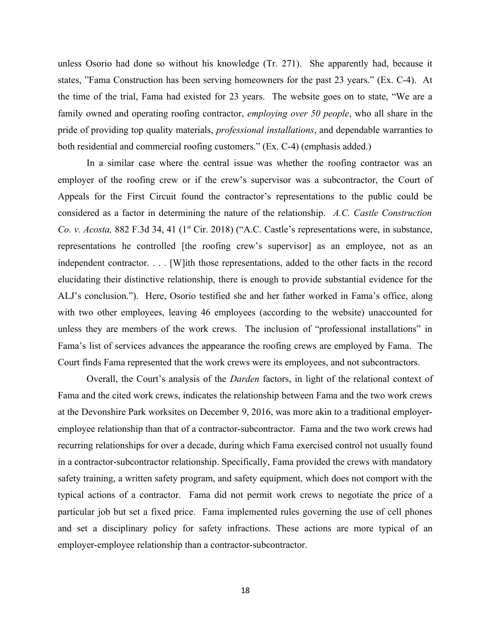unless Osorio had done so without his knowledge (Tr. 271). She apparently had, because it states, "Fama Construction has been serving homeowners for the past 23 years." (Ex. C-4). At the time of the trial, Fama had existed for 23 years. The website goes on to state, "We are a family owned and operating roofing contractor, *employing over 50 people*, who all share in the pride of providing top quality materials, *professional installations*, and dependable warranties to both residential and commercial roofing customers." (Ex. C-4) (emphasis added.)

 In a similar case where the central issue was whether the roofing contractor was an employer of the roofing crew or if the crew's supervisor was a subcontractor, the Court of Appeals for the First Circuit found the contractor's representations to the public could be considered as a factor in determining the nature of the relationship. A.C. Castle Construction Co. v. Acosta, 882 F.3d 34, 41 (1<sup>st</sup> Cir. 2018) ("A.C. Castle's representations were, in substance, representations he controlled [the roofing crew's supervisor] as an employee, not as an independent contractor. . . . [W]ith those representations, added to the other facts in the record elucidating their distinctive relationship, there is enough to provide substantial evidence for the ALJ's conclusion."). Here, Osorio testified she and her father worked in Fama's office, along with two other employees, leaving 46 employees (according to the website) unaccounted for unless they are members of the work crews. The inclusion of "professional installations" in Fama's list of services advances the appearance the roofing crews are employed by Fama. The Court finds Fama represented that the work crews were its employees, and not subcontractors.

Overall, the Court's analysis of the *Darden* factors, in light of the relational context of Fama and the cited work crews, indicates the relationship between Fama and the two work crews at the Devonshire Park worksites on December 9, 2016, was more akin to a traditional employer- employee relationship than that of a contractor-subcontractor. Fama and the two work crews had recurring relationships for over a decade, during which Fama exercised control not usually found in a contractor-subcontractor relationship. Specifically, Fama provided the crews with mandatory safety training, a written safety program, and safety equipment, which does not comport with the typical actions of a contractor. Fama did not permit work crews to negotiate the price of a particular job but set a fixed price. Fama implemented rules governing the use of cell phones and set a disciplinary policy for safety infractions. These actions are more typical of an employer-employee relationship than a contractor-subcontractor.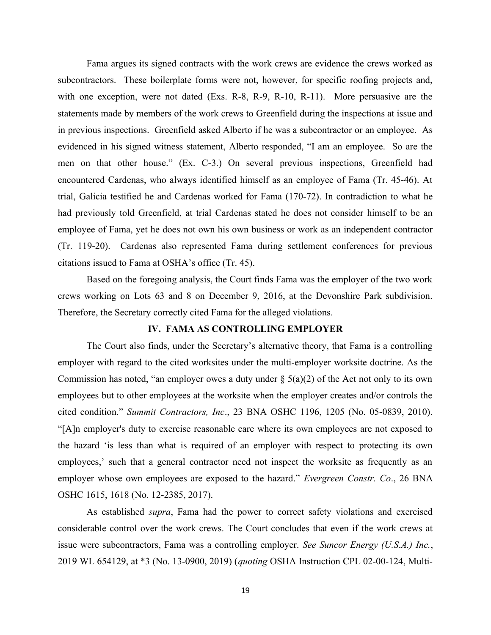Fama argues its signed contracts with the work crews are evidence the crews worked as subcontractors. These boilerplate forms were not, however, for specific roofing projects and, with one exception, were not dated (Exs. R-8, R-9, R-10, R-11). More persuasive are the statements made by members of the work crews to Greenfield during the inspections at issue and in previous inspections. Greenfield asked Alberto if he was a subcontractor or an employee. As evidenced in his signed witness statement, Alberto responded, "I am an employee. So are the men on that other house." (Ex. C-3.) On several previous inspections, Greenfield had encountered Cardenas, who always identified himself as an employee of Fama (Tr. 45-46). At trial, Galicia testified he and Cardenas worked for Fama (170-72). In contradiction to what he had previously told Greenfield, at trial Cardenas stated he does not consider himself to be an employee of Fama, yet he does not own his own business or work as an independent contractor (Tr. 119-20). Cardenas also represented Fama during settlement conferences for previous citations issued to Fama at OSHA's office (Tr. 45).

 Based on the foregoing analysis, the Court finds Fama was the employer of the two work crews working on Lots 63 and 8 on December 9, 2016, at the Devonshire Park subdivision. Therefore, the Secretary correctly cited Fama for the alleged violations.

#### **IV. FAMA AS CONTROLLING EMPLOYER**

 The Court also finds, under the Secretary's alternative theory, that Fama is a controlling employer with regard to the cited worksites under the multi-employer worksite doctrine. As the Commission has noted, "an employer owes a duty under  $\S$  5(a)(2) of the Act not only to its own employees but to other employees at the worksite when the employer creates and/or controls the cited condition." *Summit Contractors, Inc.*, 23 BNA OSHC 1196, 1205 (No. 05-0839, 2010). "[A]n employer's duty to exercise reasonable care where its own employees are not exposed to the hazard 'is less than what is required of an employer with respect to protecting its own employees,' such that a general contractor need not inspect the worksite as frequently as an employer whose own employees are exposed to the hazard." *Evergreen Constr. Co*., 26 BNA OSHC 1615, 1618 (No. 12-2385, 2017).

As established *supra*, Fama had the power to correct safety violations and exercised considerable control over the work crews. The Court concludes that even if the work crews at issue were subcontractors, Fama was a controlling employer. *See Suncor Energy (U.S.A.) Inc.*, 2019 WL 654129, at \*3 (No. 13-0900, 2019) (*quoting* OSHA Instruction CPL 02-00-124, Multi-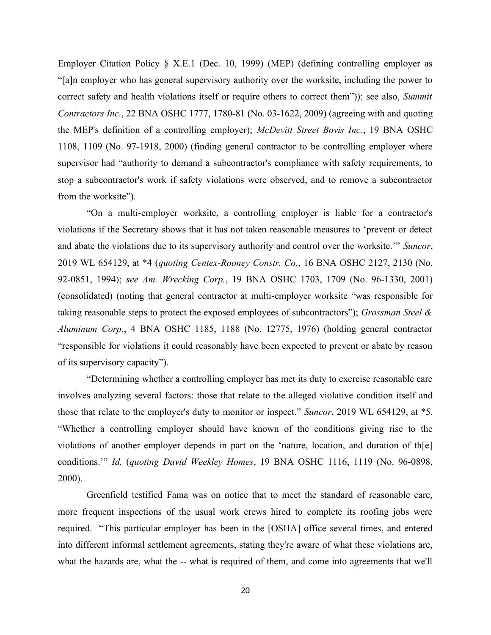Employer Citation Policy § X.E.1 (Dec. 10, 1999) (MEP) (defining controlling employer as "[a]n employer who has general supervisory authority over the worksite, including the power to correct safety and health violations itself or require others to correct them")); see also, *Summit*  the MEP's definition of a controlling employer); *McDevitt Street Bovis Inc.*, 19 BNA OSHC 1108, 1109 (No. 97-1918, 2000) (finding general contractor to be controlling employer where supervisor had "authority to demand a subcontractor's compliance with safety requirements, to stop a subcontractor's work if safety violations were observed, and to remove a subcontractor *Contractors Inc.*, 22 BNA OSHC 1777, 1780-81 (No. 03-1622, 2009) (agreeing with and quoting from the worksite").

 "On a multi-employer worksite, a controlling employer is liable for a contractor's violations if the Secretary shows that it has not taken reasonable measures to 'prevent or detect and abate the violations due to its supervisory authority and control over the worksite.'" *Suncor*, 2019 WL 654129, at \*4 (*quoting Centex-Rooney Constr. Co.*, 16 BNA OSHC 2127, 2130 (No. 92-0851, 1994); *see Am. Wrecking Corp.*, 19 BNA OSHC 1703, 1709 (No. 96-1330, 2001) (consolidated) (noting that general contractor at multi-employer worksite "was responsible for taking reasonable steps to protect the exposed employees of subcontractors"); *Grossman Steel & Aluminum Corp.*, 4 BNA OSHC 1185, 1188 (No. 12775, 1976) (holding general contractor "responsible for violations it could reasonably have been expected to prevent or abate by reason of its supervisory capacity").

 "Determining whether a controlling employer has met its duty to exercise reasonable care involves analyzing several factors: those that relate to the alleged violative condition itself and those that relate to the employer's duty to monitor or inspect." *Suncor*, 2019 WL 654129, at \*5. "Whether a controlling employer should have known of the conditions giving rise to the violations of another employer depends in part on the 'nature, location, and duration of th[e] conditions."" *Id.* (quoting David Weekley Homes, 19 BNA OSHC 1116, 1119 (No. 96-0898, 2000).

 Greenfield testified Fama was on notice that to meet the standard of reasonable care, more frequent inspections of the usual work crews hired to complete its roofing jobs were required. "This particular employer has been in the [OSHA] office several times, and entered into different informal settlement agreements, stating they're aware of what these violations are, what the hazards are, what the -- what is required of them, and come into agreements that we'll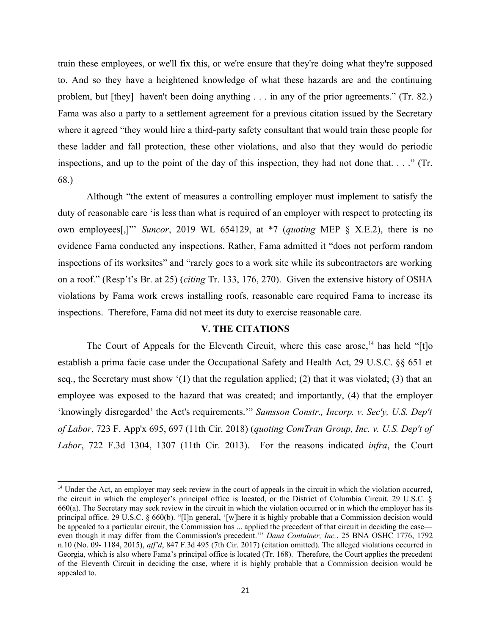train these employees, or we'll fix this, or we're ensure that they're doing what they're supposed to. And so they have a heightened knowledge of what these hazards are and the continuing problem, but [they] haven't been doing anything . . . in any of the prior agreements." (Tr. 82.) Fama was also a party to a settlement agreement for a previous citation issued by the Secretary where it agreed "they would hire a third-party safety consultant that would train these people for these ladder and fall protection, these other violations, and also that they would do periodic inspections, and up to the point of the day of this inspection, they had not done that. . . ." (Tr. 68.)

 Although "the extent of measures a controlling employer must implement to satisfy the duty of reasonable care 'is less than what is required of an employer with respect to protecting its own employees[,]"' *Suncor*, 2019 WL 654129, at \*7 (*quoting* MEP § X.E.2), there is no evidence Fama conducted any inspections. Rather, Fama admitted it "does not perform random inspections of its worksites" and "rarely goes to a work site while its subcontractors are working on a roof." (Resp't's Br. at 25) (*citing* Tr. 133, 176, 270). Given the extensive history of OSHA violations by Fama work crews installing roofs, reasonable care required Fama to increase its inspections. Therefore, Fama did not meet its duty to exercise reasonable care.

#### **V. THE CITATIONS**

The Court of Appeals for the Eleventh Circuit, where this case arose,<sup>14</sup> has held "[t]o establish a prima facie case under the Occupational Safety and Health Act, 29 U.S.C. §§ 651 et seq., the Secretary must show '(1) that the regulation applied; (2) that it was violated; (3) that an employee was exposed to the hazard that was created; and importantly, (4) that the employer 'knowingly disregarded' the Act's requirements.'" Samsson Constr., Incorp. v. Sec'y, U.S. Dep't of Labor, 723 F. App'x 695, 697 (11th Cir. 2018) (*quoting ComTran Group, Inc. v. U.S. Dep't of* Labor, 722 F.3d 1304, 1307 (11th Cir. 2013). For the reasons indicated *infra*, the Court

<span id="page-20-0"></span><sup>&</sup>lt;sup>14</sup> Under the Act, an employer may seek review in the court of appeals in the circuit in which the violation occurred, the circuit in which the employer's principal office is located, or the District of Columbia Circuit. 29 U.S.C. § principal office. 29 U.S.C. § 660(b). "[I]n general, '[w]here it is highly probable that a Commission decision would even though it may differ from the Commission's precedent." *Dana Container, Inc.*, 25 BNA OSHC 1776, 1792 n.10 (No. 09- 1184, 2015), *ff'd*, 847 F.3d 495 (7th Cir. 2017) (citation omitted). The alleged violations occurred in of the Eleventh Circuit in deciding the case, where it is highly probable that a Commission decision would be 660(a). The Secretary may seek review in the circuit in which the violation occurred or in which the employer has its be appealed to a particular circuit, the Commission has ... applied the precedent of that circuit in deciding the case— Georgia, which is also where Fama's principal office is located (Tr. 168). Therefore, the Court applies the precedent appealed to.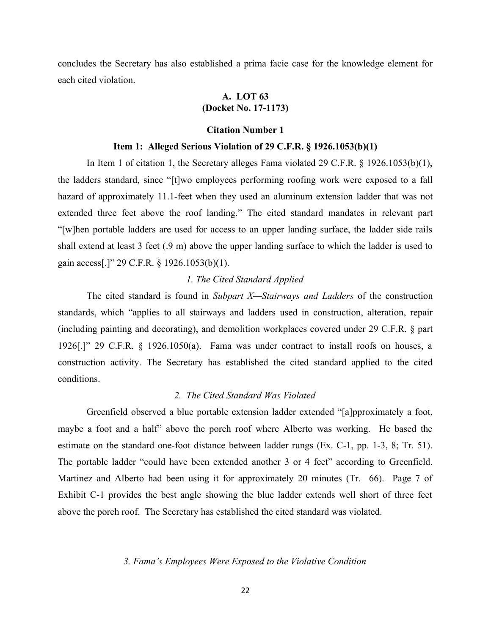concludes the Secretary has also established a prima facie case for the knowledge element for each cited violation.

# **A. LOT 63 (Docket No. 17-1173)**

#### **Citation Number 1**

#### **tem 1: Alleged Serious Violation of 29 C.F.R. § 1926.1053(b)(1)**

 In Item 1 of citation 1, the Secretary alleges Fama violated 29 C.F.R. § 1926.1053(b)(1), the ladders standard, since "[t]wo employees performing roofing work were exposed to a fall hazard of approximately 11.1-feet when they used an aluminum extension ladder that was not extended three feet above the roof landing." The cited standard mandates in relevant part "[w]hen portable ladders are used for access to an upper landing surface, the ladder side rails shall extend at least 3 feet (.9 m) above the upper landing surface to which the ladder is used to gain access[.]" 29 C.F.R. § 1926.1053(b)(1).

# *1. The Cited Standard Applied*

The cited standard is found in *Subpart X—Stairways and Ladders* of the construction standards, which "applies to all stairways and ladders used in construction, alteration, repair (including painting and decorating), and demolition workplaces covered under 29 C.F.R. § part 1926[.]" 29 C.F.R. § 1926.1050(a). Fama was under contract to install roofs on houses, a construction activity. The Secretary has established the cited standard applied to the cited conditions.

#### 2. The Cited Standard Was Violated

 Greenfield observed a blue portable extension ladder extended "[a]pproximately a foot, maybe a foot and a half" above the porch roof where Alberto was working. He based the estimate on the standard one-foot distance between ladder rungs (Ex. C-1, pp. 1-3, 8; Tr. 51). The portable ladder "could have been extended another 3 or 4 feet" according to Greenfield. Martinez and Alberto had been using it for approximately 20 minutes (Tr. 66). Page 7 of Exhibit C-1 provides the best angle showing the blue ladder extends well short of three feet above the porch roof. The Secretary has established the cited standard was violated.

### *3. F m 's Employees Were Exposed to the Viol tive Condition*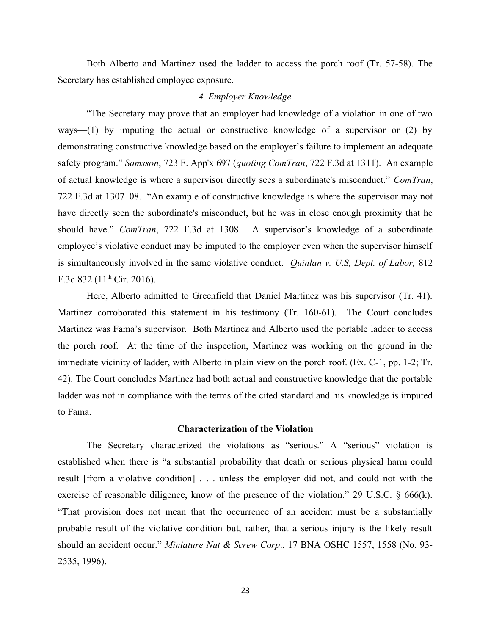Both Alberto and Martinez used the ladder to access the porch roof (Tr. 57-58). The Secretary has established employee exposure.

### *4. Employer Knowledge*

 "The Secretary may prove that an employer had knowledge of a violation in one of two ways—(1) by imputing the actual or constructive knowledge of a supervisor or (2) by demonstrating constructive knowledge based on the employer's failure to implement an adequate safety program." *Samsson*, 723 F. App'x 697 (*quoting ComTran*, 722 F.3d at 1311). An example of actual knowledge is where a supervisor directly sees a subordinate's misconduct." *ComTran*, 722 F.3d at 1307–08. "An example of constructive knowledge is where the supervisor may not have directly seen the subordinate's misconduct, but he was in close enough proximity that he should have." *ComTran*, 722 F.3d at 1308. A supervisor's knowledge of a subordinate employee's violative conduct may be imputed to the employer even when the supervisor himself is simultaneously involved in the same violative conduct. *Quinlan v. U.S, Dept. of Labor*, 812 F.3d 832 ( $11^{th}$  Cir. 2016).

 Here, Alberto admitted to Greenfield that Daniel Martinez was his supervisor (Tr. 41). Martinez corroborated this statement in his testimony (Tr. 160-61). The Court concludes Martinez was Fama's supervisor. Both Martinez and Alberto used the portable ladder to access the porch roof. At the time of the inspection, Martinez was working on the ground in the immediate vicinity of ladder, with Alberto in plain view on the porch roof. (Ex. C-1, pp. 1-2; Tr. 42). The Court concludes Martinez had both actual and constructive knowledge that the portable ladder was not in compliance with the terms of the cited standard and his knowledge is imputed to Fama.

## **Characterization of the Violation**

 The Secretary characterized the violations as "serious." A "serious" violation is established when there is "a substantial probability that death or serious physical harm could result [from a violative condition] . . . unless the employer did not, and could not with the exercise of reasonable diligence, know of the presence of the violation." 29 U.S.C. § 666(k). "That provision does not mean that the occurrence of an accident must be a substantially probable result of the violative condition but, rather, that a serious injury is the likely result should an accident occur." *Miniature Nut & Screw Corp.*, 17 BNA OSHC 1557, 1558 (No. 93-2535, 1996).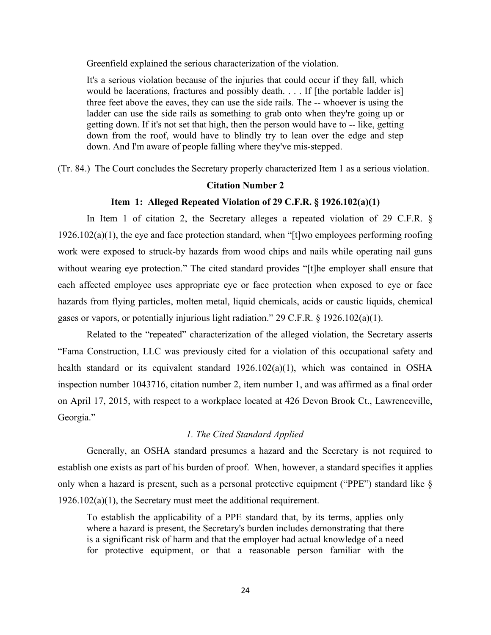Greenfield explained the serious characterization of the violation.

 It's a serious violation because of the injuries that could occur if they fall, which would be lacerations, fractures and possibly death. . . . If [the portable ladder is] three feet above the eaves, they can use the side rails. The -- whoever is using the ladder can use the side rails as something to grab onto when they're going up or getting down. If it's not set that high, then the person would have to -- like, getting down from the roof, would have to blindly try to lean over the edge and step down. And I'm aware of people falling where they've mis-stepped.

(Tr. 84.) The Court concludes the Secretary properly characterized Item 1 as a serious violation.

# **Citation Number 2**

### **tem 1: Alleged Repeated Violation of 29 C.F.R. § 1926.102(a)(1)**

 In Item 1 of citation 2, the Secretary alleges a repeated violation of 29 C.F.R. § work were exposed to struck-by hazards from wood chips and nails while operating nail guns without wearing eye protection." The cited standard provides "[t]he employer shall ensure that each affected employee uses appropriate eye or face protection when exposed to eye or face hazards from flying particles, molten metal, liquid chemicals, acids or caustic liquids, chemical  $1926.102(a)(1)$ , the eye and face protection standard, when "[t]wo employees performing roofing gases or vapors, or potentially injurious light radiation." 29 C.F.R. § 1926.102(a)(1).

 Related to the "repeated" characterization of the alleged violation, the Secretary asserts "Fama Construction, LLC was previously cited for a violation of this occupational safety and health standard or its equivalent standard 1926.102(a)(1), which was contained in OSHA inspection number 1043716, citation number 2, item number 1, and was affirmed as a final order on April 17, 2015, with respect to a workplace located at 426 Devon Brook Ct., Lawrenceville, Georgia."

### *1. The Cited Standard Applied*

 Generally, an OSHA standard presumes a hazard and the Secretary is not required to establish one exists as part of his burden of proof. When, however, a standard specifies it applies only when a hazard is present, such as a personal protective equipment ("PPE") standard like § 1926.102(a)(1), the Secretary must meet the additional requirement.

 To establish the applicability of a PPE standard that, by its terms, applies only is a significant risk of harm and that the employer had actual knowledge of a need for protective equipment, or that a reasonable person familiar with the where a hazard is present, the Secretary's burden includes demonstrating that there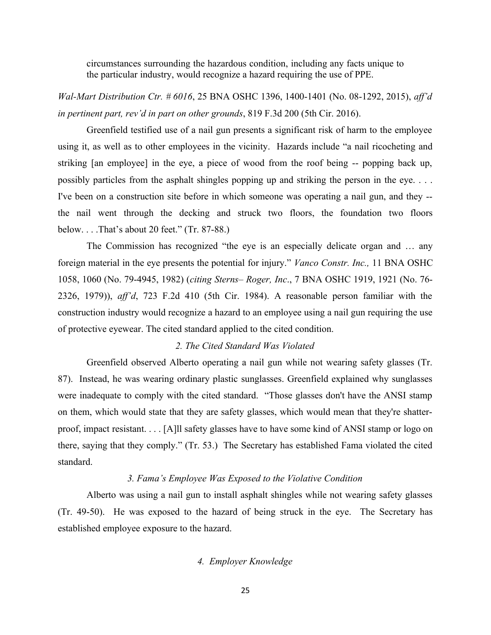circumstances surrounding the hazardous condition, including any facts unique to the particular industry, would recognize a hazard requiring the use of PPE.

*Wal-Mart Distribution Ctr. # 6016, 25 BNA OSHC 1396, 1400-1401 (No. 08-1292, 2015), aff'd in pertinent part, rev'd in part on other grounds, 819 F.3d 200 (5th Cir. 2016).* 

 Greenfield testified use of a nail gun presents a significant risk of harm to the employee using it, as well as to other employees in the vicinity. Hazards include "a nail ricocheting and striking [an employee] in the eye, a piece of wood from the roof being -- popping back up, possibly particles from the asphalt shingles popping up and striking the person in the eye. . . . I've been on a construction site before in which someone was operating a nail gun, and they -- the nail went through the decking and struck two floors, the foundation two floors below. . . .That's about 20 feet." (Tr. 87-88.)

 The Commission has recognized "the eye is an especially delicate organ and … any foreign material in the eye presents the potential for injury." *Vanco Constr. Inc.*, 11 BNA OSHC 1058, 1060 (No. 79-4945, 1982) (*citing Sterns– Roger, Inc*., 7 BNA OSHC 1919, 1921 (No. 76- 2326, 1979)), *ff'd*, 723 F.2d 410 (5th Cir. 1984). A reasonable person familiar with the construction industry would recognize a hazard to an employee using a nail gun requiring the use of protective eyewear. The cited standard applied to the cited condition.

### 2. The Cited Standard Was Violated

 Greenfield observed Alberto operating a nail gun while not wearing safety glasses (Tr. 87). Instead, he was wearing ordinary plastic sunglasses. Greenfield explained why sunglasses were inadequate to comply with the cited standard. "Those glasses don't have the ANSI stamp on them, which would state that they are safety glasses, which would mean that they're shatter- there, saying that they comply." (Tr. 53.) The Secretary has established Fama violated the cited proof, impact resistant. . . . [A]ll safety glasses have to have some kind of ANSI stamp or logo on standard.

### *3. F m 's Employee W s Exposed to the Viol tive Condition*

 Alberto was using a nail gun to install asphalt shingles while not wearing safety glasses (Tr. 49-50). He was exposed to the hazard of being struck in the eye. The Secretary has established employee exposure to the hazard.

### *4. Employer Knowledge*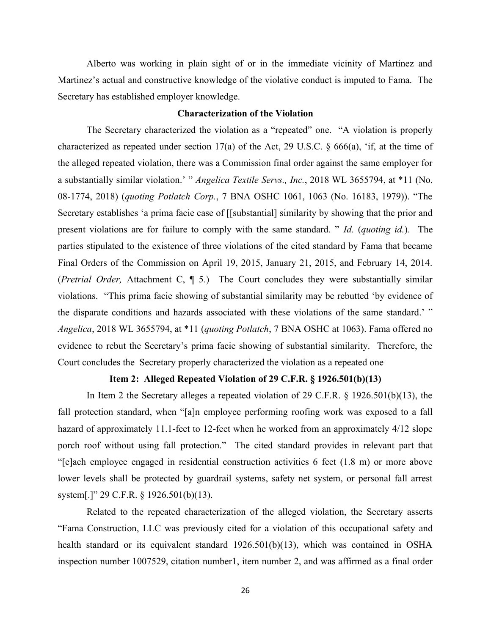Alberto was working in plain sight of or in the immediate vicinity of Martinez and Martinez's actual and constructive knowledge of the violative conduct is imputed to Fama. The Secretary has established employer knowledge.

#### **Characterization of the Violation**

 The Secretary characterized the violation as a "repeated" one. "A violation is properly characterized as repeated under section 17(a) of the Act, 29 U.S.C. § 666(a), 'if, at the time of the alleged repeated violation, there was a Commission final order against the same employer for a substantially similar violation.' " *Angelica Textile Servs., Inc.*, 2018 WL 3655794, at \*11 (No. 08-1774, 2018) (*quoting Potlatch Corp.*, 7 BNA OSHC 1061, 1063 (No. 16183, 1979)). "The Secretary establishes 'a prima facie case of [[substantial] similarity by showing that the prior and present violations are for failure to comply with the same standard. " *Id.* (*quoting id.*). The parties stipulated to the existence of three violations of the cited standard by Fama that became Final Orders of the Commission on April 19, 2015, January 21, 2015, and February 14, 2014. (*Pretrial Order*, Attachment C, 1 5.) The Court concludes they were substantially similar violations. "This prima facie showing of substantial similarity may be rebutted 'by evidence of the disparate conditions and hazards associated with these violations of the same standard.' " Angelica, 2018 WL 3655794, at \*11 (*quoting Potlatch*, 7 BNA OSHC at 1063). Fama offered no evidence to rebut the Secretary's prima facie showing of substantial similarity. Therefore, the Court concludes the Secretary properly characterized the violation as a repeated one

### **tem 2: Alleged Repeated Violation of 29 C.F.R. § 1926.501(b)(13)**

 In Item 2 the Secretary alleges a repeated violation of 29 C.F.R. § 1926.501(b)(13), the fall protection standard, when "[a]n employee performing roofing work was exposed to a fall hazard of approximately 11.1-feet to 12-feet when he worked from an approximately 4/12 slope porch roof without using fall protection." The cited standard provides in relevant part that "[e]ach employee engaged in residential construction activities 6 feet (1.8 m) or more above lower levels shall be protected by guardrail systems, safety net system, or personal fall arrest system[.]" 29 C.F.R. § 1926.501(b)(13).

 Related to the repeated characterization of the alleged violation, the Secretary asserts "Fama Construction, LLC was previously cited for a violation of this occupational safety and health standard or its equivalent standard 1926.501(b)(13), which was contained in OSHA inspection number 1007529, citation number1, item number 2, and was affirmed as a final order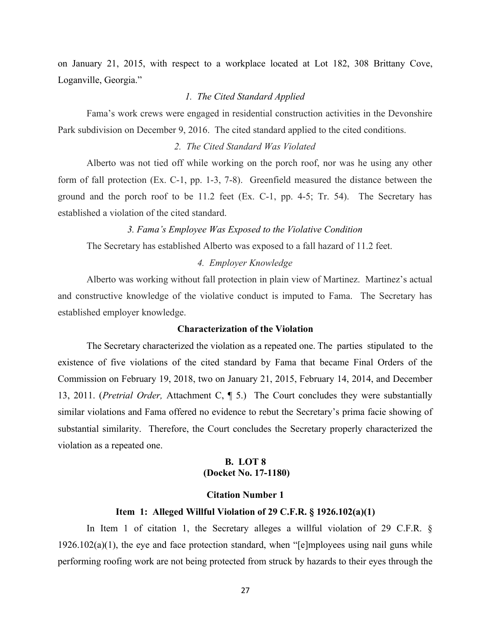on January 21, 2015, with respect to a workplace located at Lot 182, 308 Brittany Cove, Loganville, Georgia."

## *1. The Cited Standard Applied*

 Fama's work crews were engaged in residential construction activities in the Devonshire Park subdivision on December 9, 2016. The cited standard applied to the cited conditions.

### 2. The Cited Standard Was Violated

 Alberto was not tied off while working on the porch roof, nor was he using any other form of fall protection (Ex. C-1, pp. 1-3, 7-8). Greenfield measured the distance between the ground and the porch roof to be 11.2 feet (Ex. C-1, pp. 4-5; Tr. 54). The Secretary has established a violation of the cited standard.

#### *3. F m 's Employee W s Exposed to the Viol tive Condition*

The Secretary has established Alberto was exposed to a fall hazard of 11.2 feet.

#### *4. Employer Knowledge*

 Alberto was working without fall protection in plain view of Martinez. Martinez's actual and constructive knowledge of the violative conduct is imputed to Fama. The Secretary has established employer knowledge.

### **Characterization of the Violation**

 The Secretary characterized the violation as a repeated one. The parties stipulated to the existence of five violations of the cited standard by Fama that became Final Orders of the Commission on February 19, 2018, two on January 21, 2015, February 14, 2014, and December 13, 2011. (*Pretrial Order*, Attachment C,  $\parallel$  5.) The Court concludes they were substantially similar violations and Fama offered no evidence to rebut the Secretary's prima facie showing of substantial similarity. Therefore, the Court concludes the Secretary properly characterized the violation as a repeated one.

# **B. LOT 8 (Docket No. 17-1180)**

# **Citation Number 1**

#### **tem 1: Alleged Willful Violation of 29 C.F.R. § 1926.102(a)(1)**

 In Item 1 of citation 1, the Secretary alleges a willful violation of 29 C.F.R. §  $1926.102(a)(1)$ , the eye and face protection standard, when "[e]mployees using nail guns while performing roofing work are not being protected from struck by hazards to their eyes through the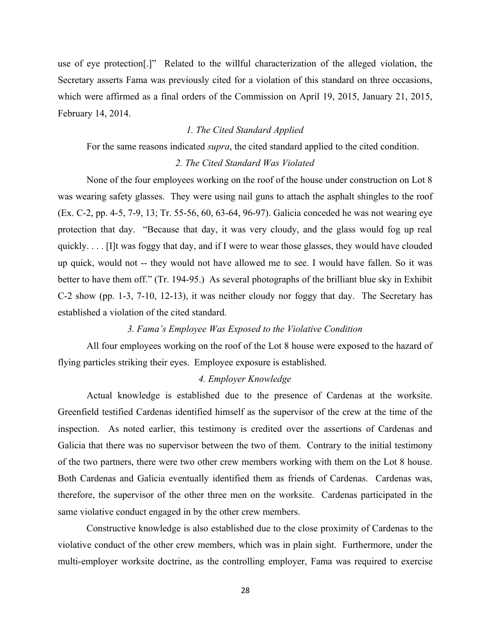use of eye protection[.]" Related to the willful characterization of the alleged violation, the Secretary asserts Fama was previously cited for a violation of this standard on three occasions, which were affirmed as a final orders of the Commission on April 19, 2015, January 21, 2015, February 14, 2014.

# *1. The Cited Standard Applied*

For the same reasons indicated *supra*, the cited standard applied to the cited condition.

# 2. The Cited Standard Was Violated

 None of the four employees working on the roof of the house under construction on Lot 8 was wearing safety glasses. They were using nail guns to attach the asphalt shingles to the roof protection that day. "Because that day, it was very cloudy, and the glass would fog up real up quick, would not -- they would not have allowed me to see. I would have fallen. So it was C-2 show (pp. 1-3, 7-10, 12-13), it was neither cloudy nor foggy that day. The Secretary has (Ex. C-2, pp. 4-5, 7-9, 13; Tr. 55-56, 60, 63-64, 96-97). Galicia conceded he was not wearing eye quickly. . . . [I]t was foggy that day, and if I were to wear those glasses, they would have clouded better to have them off." (Tr. 194-95.) As several photographs of the brilliant blue sky in Exhibit established a violation of the cited standard.

### *3. F m 's Employee W s Exposed to the Viol tive Condition*

 All four employees working on the roof of the Lot 8 house were exposed to the hazard of flying particles striking their eyes. Employee exposure is established.

## *4. Employer Knowledge*

 Actual knowledge is established due to the presence of Cardenas at the worksite. Greenfield testified Cardenas identified himself as the supervisor of the crew at the time of the inspection. As noted earlier, this testimony is credited over the assertions of Cardenas and Galicia that there was no supervisor between the two of them. Contrary to the initial testimony of the two partners, there were two other crew members working with them on the Lot 8 house. Both Cardenas and Galicia eventually identified them as friends of Cardenas. Cardenas was, therefore, the supervisor of the other three men on the worksite. Cardenas participated in the same violative conduct engaged in by the other crew members. same violative conduct engaged in by the other crew members. Constructive knowledge is also established due to the close proximity of Cardenas to the

 violative conduct of the other crew members, which was in plain sight. Furthermore, under the multi-employer worksite doctrine, as the controlling employer, Fama was required to exercise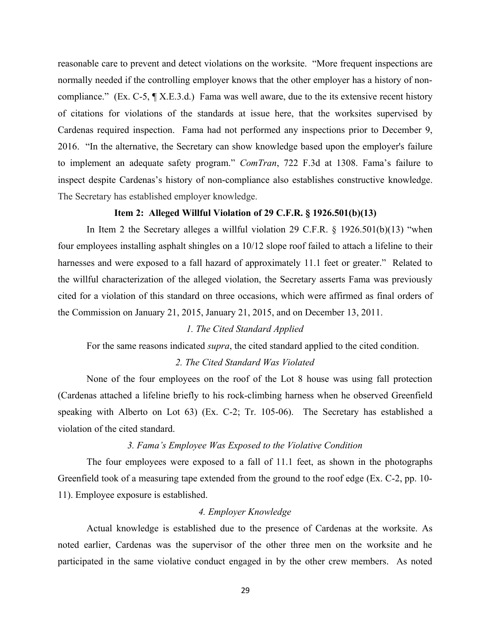reasonable care to prevent and detect violations on the worksite. "More frequent inspections are normally needed if the controlling employer knows that the other employer has a history of non- compliance." (Ex. C-5, ¶ X.E.3.d.) Fama was well aware, due to the its extensive recent history of citations for violations of the standards at issue here, that the worksites supervised by Cardenas required inspection. Fama had not performed any inspections prior to December 9, 2016. "In the alternative, the Secretary can show knowledge based upon the employer's failure to implement an adequate safety program." *ComTran*, 722 F.3d at 1308. Fama's failure to inspect despite Cardenas's history of non-compliance also establishes constructive knowledge. The Secretary has established employer knowledge.

#### **tem 2: Alleged Willful Violation of 29 C.F.R. § 1926.501(b)(13)**

 In Item 2 the Secretary alleges a willful violation 29 C.F.R. § 1926.501(b)(13) "when four employees installing asphalt shingles on a 10/12 slope roof failed to attach a lifeline to their harnesses and were exposed to a fall hazard of approximately 11.1 feet or greater." Related to the willful characterization of the alleged violation, the Secretary asserts Fama was previously cited for a violation of this standard on three occasions, which were affirmed as final orders of the Commission on January 21, 2015, January 21, 2015, and on December 13, 2011.

## *1. The Cited Standard Applied*

For the same reasons indicated *supra*, the cited standard applied to the cited condition.

#### 2. The Cited Standard Was Violated

 None of the four employees on the roof of the Lot 8 house was using fall protection (Cardenas attached a lifeline briefly to his rock-climbing harness when he observed Greenfield speaking with Alberto on Lot 63) (Ex. C-2; Tr. 105-06). The Secretary has established a violation of the cited standard.

# 3. Fama's Employee Was Exposed to the Violative Condition

 The four employees were exposed to a fall of 11.1 feet, as shown in the photographs Greenfield took of a measuring tape extended from the ground to the roof edge (Ex. C-2, pp. 10- 11). Employee exposure is established.

# *4. Employer Knowledge*

 Actual knowledge is established due to the presence of Cardenas at the worksite. As noted earlier, Cardenas was the supervisor of the other three men on the worksite and he participated in the same violative conduct engaged in by the other crew members. As noted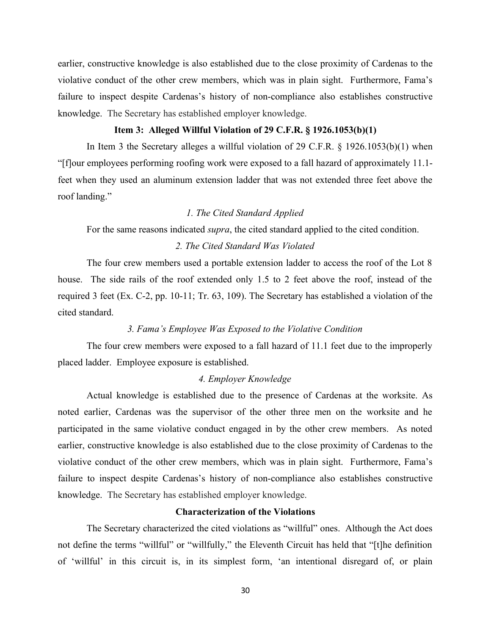earlier, constructive knowledge is also established due to the close proximity of Cardenas to the violative conduct of the other crew members, which was in plain sight. Furthermore, Fama's failure to inspect despite Cardenas's history of non-compliance also establishes constructive knowledge. The Secretary has established employer knowledge.

## **tem 3: Alleged Willful Violation of 29 C.F.R. § 1926.1053(b)(1)**

 In Item 3 the Secretary alleges a willful violation of 29 C.F.R. § 1926.1053(b)(1) when "[f]our employees performing roofing work were exposed to a fall hazard of approximately 11.1- feet when they used an aluminum extension ladder that was not extended three feet above the roof landing."

# *1. The Cited Standard Applied*

For the same reasons indicated *supra*, the cited standard applied to the cited condition.

# 2. The Cited Standard Was Violated

 The four crew members used a portable extension ladder to access the roof of the Lot 8 house. The side rails of the roof extended only 1.5 to 2 feet above the roof, instead of the required 3 feet (Ex. C-2, pp. 10-11; Tr. 63, 109). The Secretary has established a violation of the cited standard.

### *3. F m 's Employee W s Exposed to the Viol tive Condition*

 The four crew members were exposed to a fall hazard of 11.1 feet due to the improperly placed ladder. Employee exposure is established.

## *4. Employer Knowledge*

 Actual knowledge is established due to the presence of Cardenas at the worksite. As noted earlier, Cardenas was the supervisor of the other three men on the worksite and he participated in the same violative conduct engaged in by the other crew members. As noted earlier, constructive knowledge is also established due to the close proximity of Cardenas to the violative conduct of the other crew members, which was in plain sight. Furthermore, Fama's failure to inspect despite Cardenas's history of non-compliance also establishes constructive knowledge. The Secretary has established employer knowledge.

# **Characterization of the Violations**

 The Secretary characterized the cited violations as "willful" ones. Although the Act does not define the terms "willful" or "willfully," the Eleventh Circuit has held that "[t]he definition of 'willful' in this circuit is, in its simplest form, 'an intentional disregard of, or plain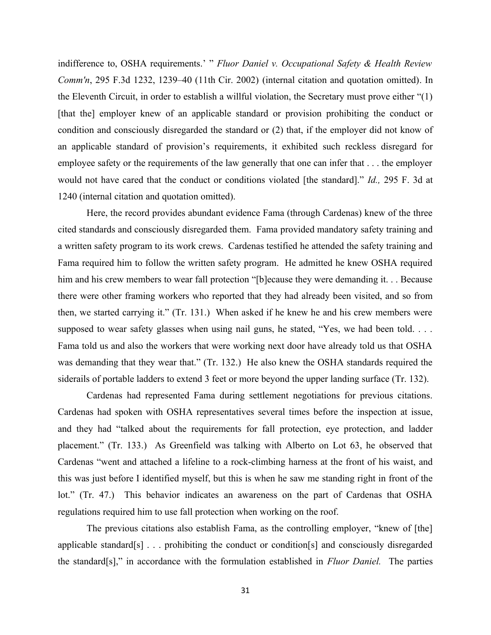indifference to, OSHA requirements.' " *Fluor Daniel v. Occupational Safety & Health Review Comm'n*, 295 F.3d 1232, 1239–40 (11th Cir. 2002) (internal citation and quotation omitted). In the Eleventh Circuit, in order to establish a willful violation, the Secretary must prove either "(1) [that the] employer knew of an applicable standard or provision prohibiting the conduct or condition and consciously disregarded the standard or (2) that, if the employer did not know of an applicable standard of provision's requirements, it exhibited such reckless disregard for employee safety or the requirements of the law generally that one can infer that . . . the employer would not have cared that the conduct or conditions violated [the standard]." *Id.,* 295 F. 3d at 1240 (internal citation and quotation omitted).

 1240 (internal citation and quotation omitted). Here, the record provides abundant evidence Fama (through Cardenas) knew of the three cited standards and consciously disregarded them. Fama provided mandatory safety training and a written safety program to its work crews. Cardenas testified he attended the safety training and Fama required him to follow the written safety program. He admitted he knew OSHA required him and his crew members to wear fall protection "[b]ecause they were demanding it. . . Because there were other framing workers who reported that they had already been visited, and so from then, we started carrying it." (Tr. 131.) When asked if he knew he and his crew members were supposed to wear safety glasses when using nail guns, he stated, "Yes, we had been told. . . . Fama told us and also the workers that were working next door have already told us that OSHA was demanding that they wear that." (Tr. 132.) He also knew the OSHA standards required the siderails of portable ladders to extend 3 feet or more beyond the upper landing surface (Tr. 132).

 Cardenas had represented Fama during settlement negotiations for previous citations. Cardenas had spoken with OSHA representatives several times before the inspection at issue, and they had "talked about the requirements for fall protection, eye protection, and ladder placement." (Tr. 133.) As Greenfield was talking with Alberto on Lot 63, he observed that Cardenas "went and attached a lifeline to a rock-climbing harness at the front of his waist, and this was just before I identified myself, but this is when he saw me standing right in front of the lot." (Tr. 47.) This behavior indicates an awareness on the part of Cardenas that OSHA regulations required him to use fall protection when working on the roof.

 The previous citations also establish Fama, as the controlling employer, "knew of [the] applicable standard[s] . . . prohibiting the conduct or condition[s] and consciously disregarded the standard[s]," in accordance with the formulation established in *Fluor Daniel*. The parties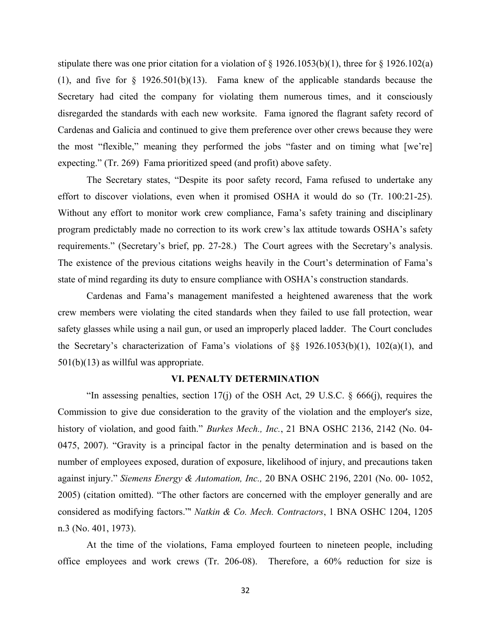stipulate there was one prior citation for a violation of  $\S 1926.1053(b)(1)$ , three for  $\S 1926.102(a)$ (1), and five for  $\S$  1926.501(b)(13). Fama knew of the applicable standards because the Secretary had cited the company for violating them numerous times, and it consciously disregarded the standards with each new worksite. Fama ignored the flagrant safety record of Cardenas and Galicia and continued to give them preference over other crews because they were the most "flexible," meaning they performed the jobs "faster and on timing what [we're] expecting." (Tr. 269) Fama prioritized speed (and profit) above safety.

 The Secretary states, "Despite its poor safety record, Fama refused to undertake any effort to discover violations, even when it promised OSHA it would do so (Tr. 100:21-25). Without any effort to monitor work crew compliance, Fama's safety training and disciplinary program predictably made no correction to its work crew's lax attitude towards OSHA's safety requirements." (Secretary's brief, pp. 27-28.) The Court agrees with the Secretary's analysis. The existence of the previous citations weighs heavily in the Court's determination of Fama's state of mind regarding its duty to ensure compliance with OSHA's construction standards.

 Cardenas and Fama's management manifested a heightened awareness that the work crew members were violating the cited standards when they failed to use fall protection, wear safety glasses while using a nail gun, or used an improperly placed ladder. The Court concludes the Secretary's characterization of Fama's violations of §§ 1926.1053(b)(1), 102(a)(1), and 501(b)(13) as willful was appropriate.

#### **VI. PENALTY DETERMINATION**

 "In assessing penalties, section 17(j) of the OSH Act, 29 U.S.C. § 666(j), requires the Commission to give due consideration to the gravity of the violation and the employer's size, history of violation, and good faith." *Burkes Mech., Inc.*, 21 BNA OSHC 2136, 2142 (No. 04- 0475, 2007). "Gravity is a principal factor in the penalty determination and is based on the number of employees exposed, duration of exposure, likelihood of injury, and precautions taken against injury." *Siemens Energy & Automation, Inc., 20 BNA OSHC 2196, 2201 (No. 00- 1052,*  2005) (citation omitted). "The other factors are concerned with the employer generally and are considered as modifying factors." *Natkin & Co. Mech. Contractors*, 1 BNA OSHC 1204, 1205 n.3 (No. 401, 1973).

 At the time of the violations, Fama employed fourteen to nineteen people, including office employees and work crews (Tr. 206-08). Therefore, a 60% reduction for size is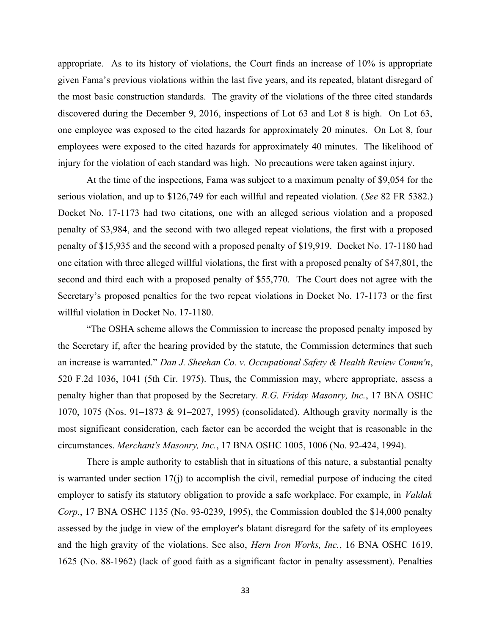appropriate. As to its history of violations, the Court finds an increase of 10% is appropriate given Fama's previous violations within the last five years, and its repeated, blatant disregard of the most basic construction standards. The gravity of the violations of the three cited standards discovered during the December 9, 2016, inspections of Lot 63 and Lot 8 is high. On Lot 63, one employee was exposed to the cited hazards for approximately 20 minutes. On Lot 8, four employees were exposed to the cited hazards for approximately 40 minutes. The likelihood of injury for the violation of each standard was high. No precautions were taken against injury. At the time of the inspections, Fama was subject to a maximum penalty of \$9,054 for the

At the time of the inspections, Fama was subject to a maximum penalty of \$9,054 for the serious violation, and up to \$126,749 for each willful and repeated violation. (*See* 82 FR 5382.) Docket No. 17-1173 had two citations, one with an alleged serious violation and a proposed penalty of \$3,984, and the second with two alleged repeat violations, the first with a proposed penalty of \$15,935 and the second with a proposed penalty of \$19,919. Docket No. 17-1180 had one citation with three alleged willful violations, the first with a proposed penalty of \$47,801, the second and third each with a proposed penalty of \$55,770. The Court does not agree with the Secretary's proposed penalties for the two repeat violations in Docket No. 17-1173 or the first willful violation in Docket No. 17-1180.

 "The OSHA scheme allows the Commission to increase the proposed penalty imposed by the Secretary if, after the hearing provided by the statute, the Commission determines that such an increase is warranted." *Dan J. Sheehan Co. v. Occupational Safety & Health Review Comm'n*, 520 F.2d 1036, 1041 (5th Cir. 1975). Thus, the Commission may, where appropriate, assess a penalty higher than that proposed by the Secretary. *R.G. Friday Masonry, Inc.*, 17 BNA OSHC 1070, 1075 (Nos. 91–1873 & 91–2027, 1995) (consolidated). Although gravity normally is the most significant consideration, each factor can be accorded the weight that is reasonable in the circumstances. *Merch nt's M sonry, Inc.*, 17 BNA OSHC 1005, 1006 (No. 92-424, 1994).

 There is ample authority to establish that in situations of this nature, a substantial penalty is warranted under section 17(j) to accomplish the civil, remedial purpose of inducing the cited employer to satisfy its statutory obligation to provide a safe workplace. For example, in *Valdak Corp.*, 17 BNA OSHC 1135 (No. 93-0239, 1995), the Commission doubled the \$14,000 penalty assessed by the judge in view of the employer's blatant disregard for the safety of its employees and the high gravity of the violations. See also, *Hern Iron Works, Inc.*, 16 BNA OSHC 1619, 1625 (No. 88-1962) (lack of good faith as a significant factor in penalty assessment). Penalties